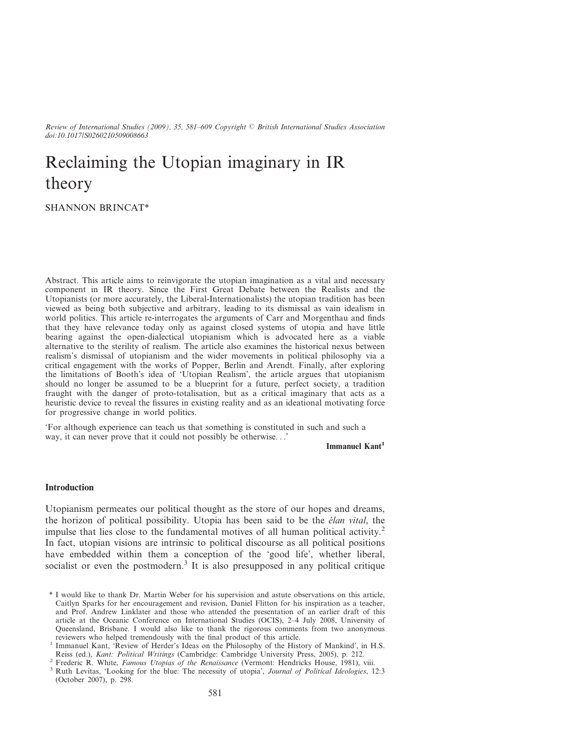*Review of International Studies (2009), 35, 581–609 Copyright* ! *British International Studies Association doi:10.1017/S0260210509008663*

# Reclaiming the Utopian imaginary in IR theory

SHANNON BRINCAT\*

Abstract. This article aims to reinvigorate the utopian imagination as a vital and necessary component in IR theory. Since the First Great Debate between the Realists and the Utopianists (or more accurately, the Liberal-Internationalists) the utopian tradition has been viewed as being both subjective and arbitrary, leading to its dismissal as vain idealism in world politics. This article re-interrogates the arguments of Carr and Morgenthau and finds that they have relevance today only as against closed systems of utopia and have little bearing against the open-dialectical utopianism which is advocated here as a viable alternative to the sterility of realism. The article also examines the historical nexus between realism's dismissal of utopianism and the wider movements in political philosophy via a critical engagement with the works of Popper, Berlin and Arendt. Finally, after exploring the limitations of Booth's idea of 'Utopian Realism', the article argues that utopianism should no longer be assumed to be a blueprint for a future, perfect society, a tradition fraught with the danger of proto-totalisation, but as a critical imaginary that acts as a heuristic device to reveal the fissures in existing reality and as an ideational motivating force for progressive change in world politics.

'For although experience can teach us that something is constituted in such and such a way, it can never prove that it could not possibly be otherwise...'

**Immanuel Kant1**

#### **Introduction**

Utopianism permeates our political thought as the store of our hopes and dreams, the horizon of political possibility. Utopia has been said to be the *élan vital*, the impulse that lies close to the fundamental motives of all human political activity.2 In fact, utopian visions are intrinsic to political discourse as all political positions have embedded within them a conception of the 'good life', whether liberal, socialist or even the postmodern.<sup>3</sup> It is also presupposed in any political critique

<sup>\*</sup> I would like to thank Dr. Martin Weber for his supervision and astute observations on this article, Caitlyn Sparks for her encouragement and revision, Daniel Flitton for his inspiration as a teacher, and Prof. Andrew Linklater and those who attended the presentation of an earlier draft of this article at the Oceanic Conference on International Studies (OCIS), 2–4 July 2008, University of Queensland, Brisbane. I would also like to thank the rigorous comments from two anonymous

<sup>&</sup>lt;sup>1</sup> Immanuel Kant, 'Review of Herder's Ideas on the Philosophy of the History of Mankind', in H.S. Reiss (ed.), *Kant: Political Writings* (Cambridge: Cambridge University Press, 2005), p. 212.

<sup>&</sup>lt;sup>2</sup> Frederic R. White, *Famous Utopias of the Renaissance* (Vermont: Hendricks House, 1981), viii.<br><sup>3</sup> Ruth Levitas, 'Looking for the blue: The necessity of utopia', *Journal of Political Ideologies*, 12:3

<sup>(</sup>October 2007), p. 298.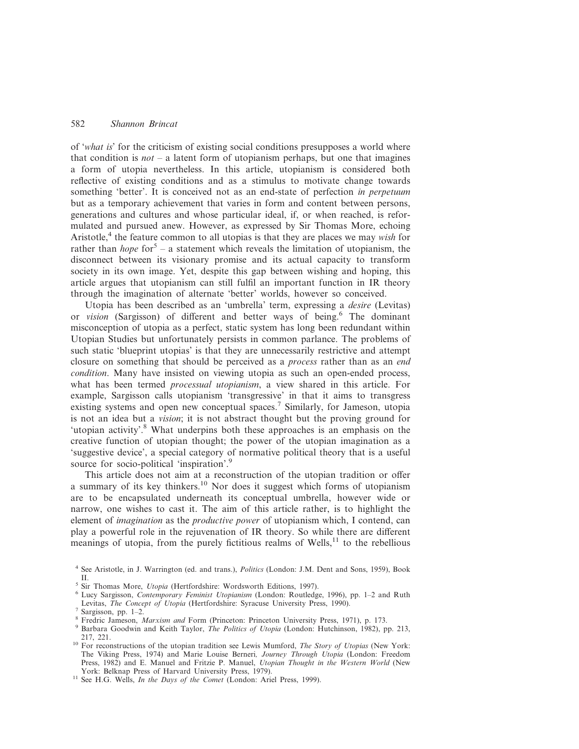of '*what is*' for the criticism of existing social conditions presupposes a world where that condition is  $not - a$  latent form of utopianism perhaps, but one that imagines a form of utopia nevertheless. In this article, utopianism is considered both reflective of existing conditions and as a stimulus to motivate change towards something 'better'. It is conceived not as an end-state of perfection *in perpetuum* but as a temporary achievement that varies in form and content between persons, generations and cultures and whose particular ideal, if, or when reached, is reformulated and pursued anew. However, as expressed by Sir Thomas More, echoing Aristotle,<sup>4</sup> the feature common to all utopias is that they are places we may *wish* for rather than *hope* for<sup>5</sup> – a statement which reveals the limitation of utopianism, the disconnect between its visionary promise and its actual capacity to transform society in its own image. Yet, despite this gap between wishing and hoping, this article argues that utopianism can still fulfil an important function in IR theory through the imagination of alternate 'better' worlds, however so conceived.

Utopia has been described as an 'umbrella' term, expressing a *desire* (Levitas) or *vision* (Sargisson) of different and better ways of being.<sup>6</sup> The dominant misconception of utopia as a perfect, static system has long been redundant within Utopian Studies but unfortunately persists in common parlance. The problems of such static 'blueprint utopias' is that they are unnecessarily restrictive and attempt closure on something that should be perceived as a *process* rather than as an *end condition*. Many have insisted on viewing utopia as such an open-ended process, what has been termed *processual utopianism*, a view shared in this article. For example, Sargisson calls utopianism 'transgressive' in that it aims to transgress existing systems and open new conceptual spaces.7 Similarly, for Jameson, utopia is not an idea but a *vision*; it is not abstract thought but the proving ground for 'utopian activity'.8 What underpins both these approaches is an emphasis on the creative function of utopian thought; the power of the utopian imagination as a 'suggestive device', a special category of normative political theory that is a useful source for socio-political 'inspiration'.<sup>9</sup>

This article does not aim at a reconstruction of the utopian tradition or offer a summary of its key thinkers.10 Nor does it suggest which forms of utopianism are to be encapsulated underneath its conceptual umbrella, however wide or narrow, one wishes to cast it. The aim of this article rather, is to highlight the element of *imagination* as the *productive power* of utopianism which, I contend, can play a powerful role in the rejuvenation of IR theory. So while there are different meanings of utopia, from the purely fictitious realms of Wells, $^{11}$  to the rebellious

- 
- II.<br><sup>5</sup> Sir Thomas More, *Utopia* (Hertfordshire: Wordsworth Editions, 1997).<br><sup>6</sup> Lucy Sargisson, *Contemporary Feminist Utopianism* (London: Routledge, 1996), pp. 1–2 and Ruth<br>Levitas, *The Concept of Utopia* (Hertfordshi

<sup>4</sup> See Aristotle, in J. Warrington (ed. and trans.), *Politics* (London: J.M. Dent and Sons, 1959), Book

<sup>&</sup>lt;sup>7</sup> Sargisson, pp. 1–2.<br><sup>8</sup> Fredric Jameson, *Marxism and* Form (Princeton: Princeton University Press, 1971), p. 173.<br><sup>9</sup> Barbara Goodwin and Keith Taylor, *The Politics of Utopia* (London: Hutchinson, 1982), pp. 213.

<sup>217, 221.</sup> <sup>10</sup> For reconstructions of the utopian tradition see Lewis Mumford, *The Story of Utopias* (New York: The Viking Press, 1974) and Marie Louise Berneri*, Journey Through Utopia* (London: Freedom Press, 1982) and E. Manuel and Fritzie P. Manuel, *Utopian Thought in the Western World* (New York: Belknap Press of Harvard University Press, 1979). <sup>11</sup> See H.G. Wells, *In the Days of the Comet* (London: Ariel Press, 1999).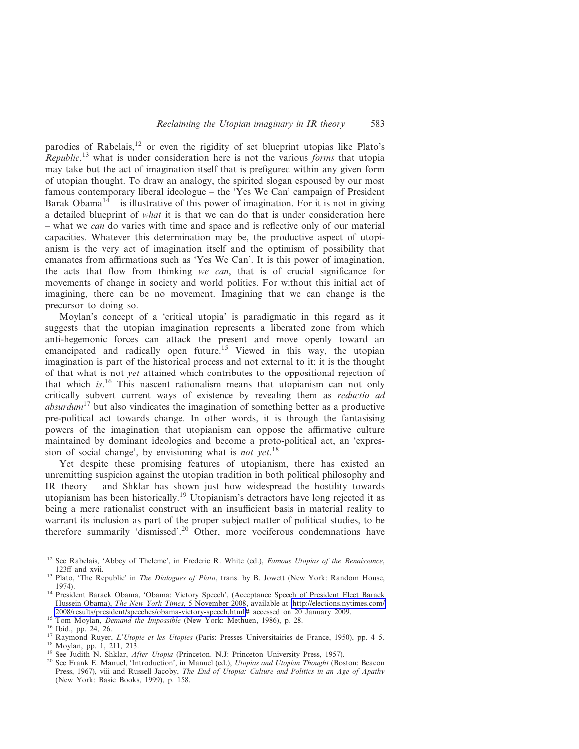parodies of Rabelais, $^{12}$  or even the rigidity of set blueprint utopias like Plato's *Republic*, <sup>13</sup> what is under consideration here is not the various *forms* that utopia may take but the act of imagination itself that is prefigured within any given form of utopian thought. To draw an analogy, the spirited slogan espoused by our most famous contemporary liberal ideologue – the 'Yes We Can' campaign of President Barak Obama<sup>14</sup> – is illustrative of this power of imagination. For it is not in giving a detailed blueprint of *what* it is that we can do that is under consideration here – what we *can* do varies with time and space and is reflective only of our material capacities. Whatever this determination may be, the productive aspect of utopianism is the very act of imagination itself and the optimism of possibility that emanates from affirmations such as 'Yes We Can'. It is this power of imagination, the acts that flow from thinking *we can*, that is of crucial significance for movements of change in society and world politics. For without this initial act of imagining, there can be no movement. Imagining that we can change is the precursor to doing so.

Moylan's concept of a 'critical utopia' is paradigmatic in this regard as it suggests that the utopian imagination represents a liberated zone from which anti-hegemonic forces can attack the present and move openly toward an emancipated and radically open future.<sup>15</sup> Viewed in this way, the utopian imagination is part of the historical process and not external to it; it is the thought of that what is not *yet* attained which contributes to the oppositional rejection of that which *is*. <sup>16</sup> This nascent rationalism means that utopianism can not only critically subvert current ways of existence by revealing them as *reductio ad absurdum*<sup>17</sup> but also vindicates the imagination of something better as a productive pre-political act towards change. In other words, it is through the fantasising powers of the imagination that utopianism can oppose the affirmative culture maintained by dominant ideologies and become a proto-political act, an 'expression of social change', by envisioning what is *not yet*. 18

Yet despite these promising features of utopianism, there has existed an unremitting suspicion against the utopian tradition in both political philosophy and IR theory – and Shklar has shown just how widespread the hostility towards utopianism has been historically.19 Utopianism's detractors have long rejected it as being a mere rationalist construct with an insufficient basis in material reality to warrant its inclusion as part of the proper subject matter of political studies, to be therefore summarily 'dismissed'.20 Other, more vociferous condemnations have

<sup>12</sup> See Rabelais, 'Abbey of Theleme', in Frederic R. White (ed.), *Famous Utopias of the Renaissance*,

<sup>&</sup>lt;sup>13</sup> Plato, 'The Republic' in *The Dialogues of Plato*, trans. by B. Jowett (New York: Random House, 1974).

<sup>&</sup>lt;sup>14</sup> President Barack Obama, 'Obama: Victory Speech', (Acceptance Speech of President Elect Barack Hussein Obama), *The New York Times*, 5 November 2008, available at: [http://elections.nytimes.com/](http://elections.nytimes.com/2008/results/president/speeches/obama-victory-speech.html)<br>2008/results/president/speeches/obama-victory-speech.html# accessed on 20 January 2009.

<sup>&</sup>lt;sup>15</sup> Tom Moylan, *Demand the Impossible* (New York: Methuen, 1986), p. 28.<br><sup>16</sup> Ibid., pp. 24, 26.<br><sup>17</sup> Raymond Ruyer, *L'Utopie et les Utopies* (Paris: Presses Universitairies de France, 1950), pp. 4–5.<br><sup>18</sup> Moylan, pp.

Press, 1967), viii and Russell Jacoby, *The End of Utopia: Culture and Politics in an Age of Apathy* (New York: Basic Books, 1999), p. 158.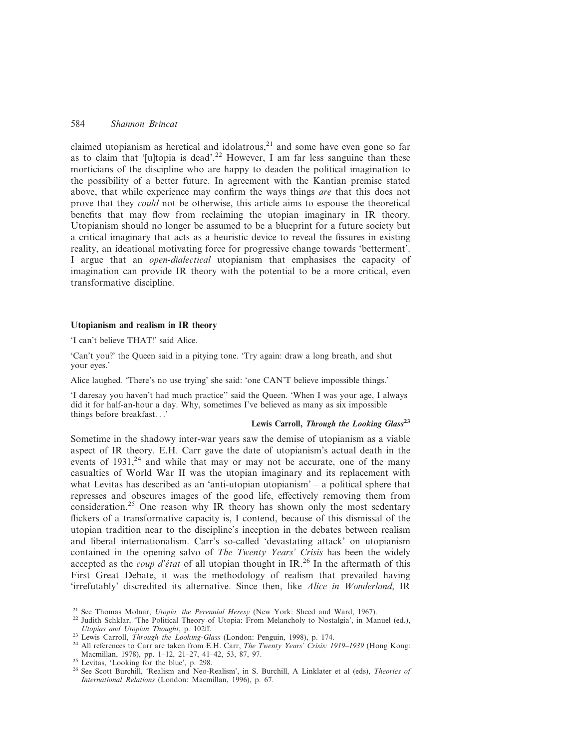claimed utopianism as heretical and idolatrous, $21$  and some have even gone so far as to claim that '[u]topia is dead'.<sup>22</sup> However, I am far less sanguine than these morticians of the discipline who are happy to deaden the political imagination to the possibility of a better future. In agreement with the Kantian premise stated above, that while experience may confirm the ways things *are* that this does not prove that they *could* not be otherwise, this article aims to espouse the theoretical benefits that may flow from reclaiming the utopian imaginary in IR theory. Utopianism should no longer be assumed to be a blueprint for a future society but a critical imaginary that acts as a heuristic device to reveal the fissures in existing reality, an ideational motivating force for progressive change towards 'betterment'. I argue that an *open-dialectical* utopianism that emphasises the capacity of imagination can provide IR theory with the potential to be a more critical, even transformative discipline.

# **Utopianism and realism in IR theory**

'I can't believe THAT!' said Alice.

'Can't you?' the Queen said in a pitying tone. 'Try again: draw a long breath, and shut your eyes.'

Alice laughed. 'There's no use trying' she said: 'one CAN'T believe impossible things.'

'I daresay you haven't had much practice'' said the Queen. 'When I was your age, I always did it for half-an-hour a day. Why, sometimes I've believed as many as six impossible things before breakfast. . .'

## **Lewis Carroll,** *Through the Looking Glass***<sup>23</sup>**

Sometime in the shadowy inter-war years saw the demise of utopianism as a viable aspect of IR theory. E.H. Carr gave the date of utopianism's actual death in the events of  $1931<sup>24</sup>$  and while that may or may not be accurate, one of the many casualties of World War II was the utopian imaginary and its replacement with what Levitas has described as an 'anti-utopian utopianism' – a political sphere that represses and obscures images of the good life, effectively removing them from consideration.<sup>25</sup> One reason why IR theory has shown only the most sedentary flickers of a transformative capacity is, I contend, because of this dismissal of the utopian tradition near to the discipline's inception in the debates between realism and liberal internationalism. Carr's so-called 'devastating attack' on utopianism contained in the opening salvo of *The Twenty Years' Crisis* has been the widely accepted as the *coup d'état* of all utopian thought in IR.26 In the aftermath of this First Great Debate, it was the methodology of realism that prevailed having 'irrefutably' discredited its alternative. Since then, like *Alice in Wonderland*, IR

<sup>&</sup>lt;sup>21</sup> See Thomas Molnar, *Utopia, the Perennial Heresy* (New York: Sheed and Ward, 1967).<br><sup>22</sup> Judith Schklar, 'The Political Theory of Utopia: From Melancholy to Nostalgia', in Manuel (ed.),<br>*Utopias and Utopian Thought*,

<sup>&</sup>lt;sup>23</sup> Lewis Carroll, *Through the Looking-Glass* (London: Penguin, 1998), p. 174.<br><sup>24</sup> All references to Carr are taken from E.H. Carr, *The Twenty Years' Crisis: 1919–1939* (Hong Kong: Macmillan, 1978), pp. 1–12, 21–27, 4

<sup>&</sup>lt;sup>25</sup> Levitas, 'Looking for the blue', p. 298.<br><sup>26</sup> See Scott Burchill, 'Realism and Neo-Realism', in S. Burchill, A Linklater et al (eds), *Theories of International Relations* (London: Macmillan, 1996), p. 67.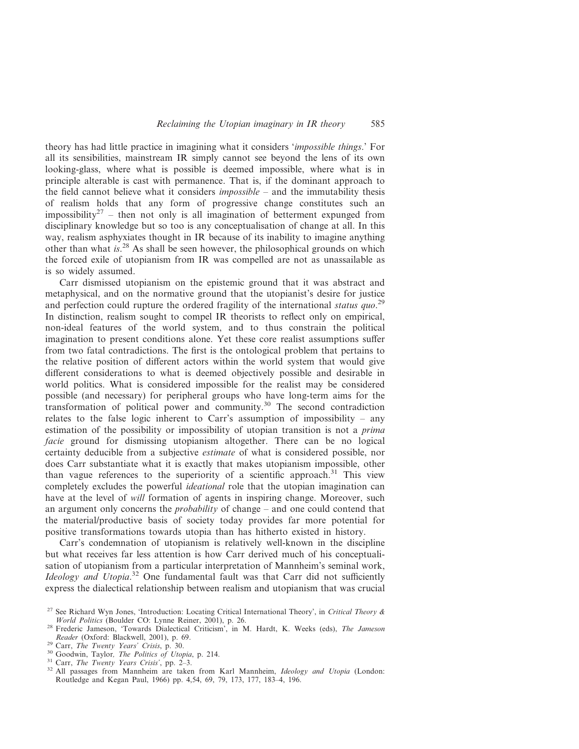theory has had little practice in imagining what it considers '*impossible things*.' For all its sensibilities, mainstream IR simply cannot see beyond the lens of its own looking-glass, where what is possible is deemed impossible, where what is in principle alterable is cast with permanence. That is, if the dominant approach to the field cannot believe what it considers *impossible* – and the immutability thesis of realism holds that any form of progressive change constitutes such an impossibility<sup>27</sup> – then not only is all imagination of betterment expunged from disciplinary knowledge but so too is any conceptualisation of change at all. In this way, realism asphyxiates thought in IR because of its inability to imagine anything other than what *is*. <sup>28</sup> As shall be seen however, the philosophical grounds on which the forced exile of utopianism from IR was compelled are not as unassailable as is so widely assumed.

Carr dismissed utopianism on the epistemic ground that it was abstract and metaphysical, and on the normative ground that the utopianist's desire for justice and perfection could rupture the ordered fragility of the international *status quo*. 29 In distinction, realism sought to compel IR theorists to reflect only on empirical, non-ideal features of the world system, and to thus constrain the political imagination to present conditions alone. Yet these core realist assumptions suffer from two fatal contradictions. The first is the ontological problem that pertains to the relative position of different actors within the world system that would give different considerations to what is deemed objectively possible and desirable in world politics. What is considered impossible for the realist may be considered possible (and necessary) for peripheral groups who have long-term aims for the transformation of political power and community.30 The second contradiction relates to the false logic inherent to Carr's assumption of impossibility – any estimation of the possibility or impossibility of utopian transition is not a *prima facie* ground for dismissing utopianism altogether. There can be no logical certainty deducible from a subjective *estimate* of what is considered possible, nor does Carr substantiate what it is exactly that makes utopianism impossible, other than vague references to the superiority of a scientific approach.<sup>31</sup> This view completely excludes the powerful *ideational* role that the utopian imagination can have at the level of *will* formation of agents in inspiring change. Moreover, such an argument only concerns the *probability* of change – and one could contend that the material/productive basis of society today provides far more potential for positive transformations towards utopia than has hitherto existed in history.

Carr's condemnation of utopianism is relatively well-known in the discipline but what receives far less attention is how Carr derived much of his conceptualisation of utopianism from a particular interpretation of Mannheim's seminal work, *Ideology and Utopia*. <sup>32</sup> One fundamental fault was that Carr did not sufficiently express the dialectical relationship between realism and utopianism that was crucial

<sup>27</sup> See Richard Wyn Jones, 'Introduction: Locating Critical International Theory', in *Critical Theory &*

<sup>&</sup>lt;sup>28</sup> Frederic Jameson, 'Towards Dialectical Criticism', in M. Hardt, K. Weeks (eds), *The Jameson Reader* (Oxford: Blackwell, 2001), p. 69.

<sup>&</sup>lt;sup>29</sup> Carr, *The Twenty Years' Crisis*, p. 30.<br><sup>30</sup> Goodwin, Taylor, *The Politics of Utopia*, p. 214.<br><sup>31</sup> Carr, *The Twenty Years Crisis'*, pp. 2–3.<br><sup>32</sup> All passages from Mannheim are taken from Karl Mannheim, *Ideology* Routledge and Kegan Paul, 1966) pp. 4,54, 69, 79, 173, 177, 183–4, 196.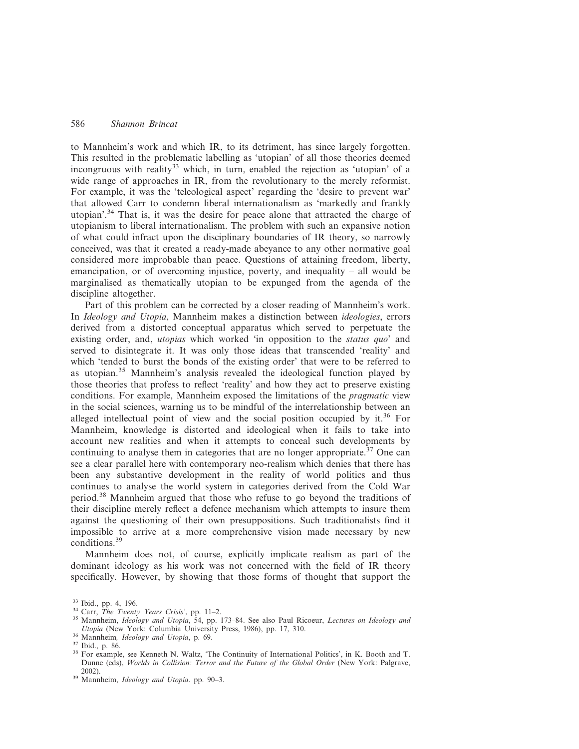to Mannheim's work and which IR, to its detriment, has since largely forgotten. This resulted in the problematic labelling as 'utopian' of all those theories deemed incongruous with reality<sup>33</sup> which, in turn, enabled the rejection as 'utopian' of a wide range of approaches in IR, from the revolutionary to the merely reformist. For example, it was the 'teleological aspect' regarding the 'desire to prevent war' that allowed Carr to condemn liberal internationalism as 'markedly and frankly utopian'.34 That is, it was the desire for peace alone that attracted the charge of utopianism to liberal internationalism. The problem with such an expansive notion of what could infract upon the disciplinary boundaries of IR theory, so narrowly conceived, was that it created a ready-made abeyance to any other normative goal considered more improbable than peace. Questions of attaining freedom, liberty, emancipation, or of overcoming injustice, poverty, and inequality – all would be marginalised as thematically utopian to be expunged from the agenda of the discipline altogether.

Part of this problem can be corrected by a closer reading of Mannheim's work. In *Ideology and Utopia*, Mannheim makes a distinction between *ideologies*, errors derived from a distorted conceptual apparatus which served to perpetuate the existing order, and, *utopias* which worked 'in opposition to the *status quo*' and served to disintegrate it. It was only those ideas that transcended 'reality' and which 'tended to burst the bonds of the existing order' that were to be referred to as utopian.35 Mannheim's analysis revealed the ideological function played by those theories that profess to reflect 'reality' and how they act to preserve existing conditions. For example, Mannheim exposed the limitations of the *pragmatic* view in the social sciences, warning us to be mindful of the interrelationship between an alleged intellectual point of view and the social position occupied by it.<sup>36</sup> For Mannheim, knowledge is distorted and ideological when it fails to take into account new realities and when it attempts to conceal such developments by continuing to analyse them in categories that are no longer appropriate.<sup>37</sup> One can see a clear parallel here with contemporary neo-realism which denies that there has been any substantive development in the reality of world politics and thus continues to analyse the world system in categories derived from the Cold War period.<sup>38</sup> Mannheim argued that those who refuse to go beyond the traditions of their discipline merely reflect a defence mechanism which attempts to insure them against the questioning of their own presuppositions. Such traditionalists find it impossible to arrive at a more comprehensive vision made necessary by new conditions.39

Mannheim does not, of course, explicitly implicate realism as part of the dominant ideology as his work was not concerned with the field of IR theory specifically. However, by showing that those forms of thought that support the

<sup>33</sup> Ibid., pp. 4, 196. <sup>34</sup> Carr, *The Twenty Years Crisis'*, pp. 11–2. <sup>35</sup> Mannheim, *Ideology and Utopia*, 54, pp. 173–84. See also Paul Ricoeur, *Lectures on Ideology and*

<sup>&</sup>lt;sup>36</sup> Mannheim, *Ideology and Utopia*, p. 69.<br><sup>37</sup> Ibid., p. 86.<br><sup>38</sup> For example, see Kenneth N. Waltz, 'The Continuity of International Politics', in K. Booth and T. Dunne (eds), *Worlds in Collision: Terror and the Future of the Global Order* (New York: Palgrave, 2002). <sup>39</sup> Mannheim, *Ideology and Utopia*. pp. 90–3.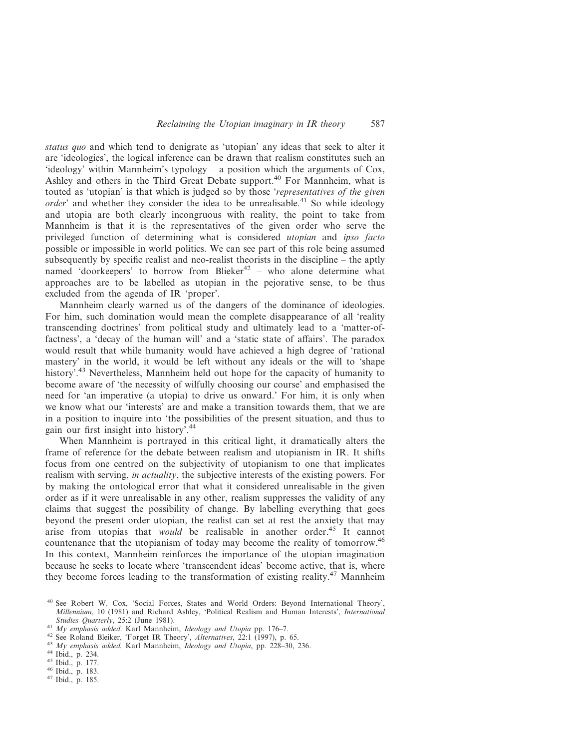*status quo* and which tend to denigrate as 'utopian' any ideas that seek to alter it are 'ideologies', the logical inference can be drawn that realism constitutes such an 'ideology' within Mannheim's typology – a position which the arguments of Cox, Ashley and others in the Third Great Debate support.<sup>40</sup> For Mannheim, what is touted as 'utopian' is that which is judged so by those '*representatives of the given order*' and whether they consider the idea to be unrealisable.<sup>41</sup> So while ideology and utopia are both clearly incongruous with reality, the point to take from Mannheim is that it is the representatives of the given order who serve the privileged function of determining what is considered *utopian* and *ipso facto* possible or impossible in world politics. We can see part of this role being assumed subsequently by specific realist and neo-realist theorists in the discipline – the aptly named 'doorkeepers' to borrow from Blieker<sup>42</sup> – who alone determine what approaches are to be labelled as utopian in the pejorative sense, to be thus excluded from the agenda of IR 'proper'.

Mannheim clearly warned us of the dangers of the dominance of ideologies. For him, such domination would mean the complete disappearance of all 'reality transcending doctrines' from political study and ultimately lead to a 'matter-offactness', a 'decay of the human will' and a 'static state of affairs'. The paradox would result that while humanity would have achieved a high degree of 'rational mastery' in the world, it would be left without any ideals or the will to 'shape history'<sup>43</sup> Nevertheless, Mannheim held out hope for the capacity of humanity to become aware of 'the necessity of wilfully choosing our course' and emphasised the need for 'an imperative (a utopia) to drive us onward.' For him, it is only when we know what our 'interests' are and make a transition towards them, that we are in a position to inquire into 'the possibilities of the present situation, and thus to gain our first insight into history'.44

When Mannheim is portrayed in this critical light, it dramatically alters the frame of reference for the debate between realism and utopianism in IR. It shifts focus from one centred on the subjectivity of utopianism to one that implicates realism with serving, *in actuality*, the subjective interests of the existing powers. For by making the ontological error that what it considered unrealisable in the given order as if it were unrealisable in any other, realism suppresses the validity of any claims that suggest the possibility of change. By labelling everything that goes beyond the present order utopian, the realist can set at rest the anxiety that may arise from utopias that *would* be realisable in another order.<sup>45</sup> It cannot countenance that the utopianism of today may become the reality of tomorrow.46 In this context, Mannheim reinforces the importance of the utopian imagination because he seeks to locate where 'transcendent ideas' become active, that is, where they become forces leading to the transformation of existing reality.<sup>47</sup> Mannheim

<sup>40</sup> See Robert W. Cox, 'Social Forces, States and World Orders: Beyond International Theory', *Millennium*, 10 (1981) and Richard Ashley, 'Political Realism and Human Interests', *International*

<sup>&</sup>lt;sup>41</sup> My emphasis added. Karl Mannheim, *Ideology and Utopia* pp. 176–7.<br><sup>42</sup> See Roland Bleiker, 'Forget IR Theory', *Alternatives*, 22:1 (1997), p. 65.<br><sup>43</sup> My emphasis added. Karl Mannheim, *Ideology and Utopia*, pp. 22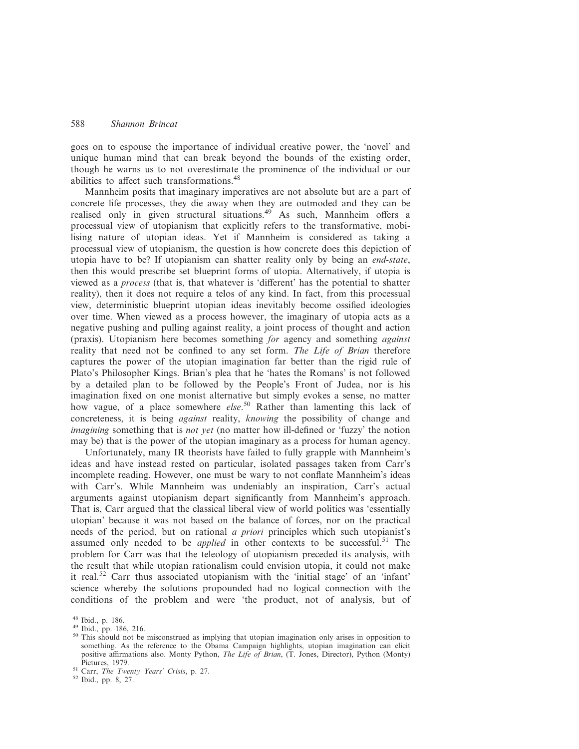goes on to espouse the importance of individual creative power, the 'novel' and unique human mind that can break beyond the bounds of the existing order, though he warns us to not overestimate the prominence of the individual or our abilities to affect such transformations.<sup>48</sup>

Mannheim posits that imaginary imperatives are not absolute but are a part of concrete life processes, they die away when they are outmoded and they can be realised only in given structural situations.<sup>49</sup> As such, Mannheim offers a processual view of utopianism that explicitly refers to the transformative, mobilising nature of utopian ideas. Yet if Mannheim is considered as taking a processual view of utopianism, the question is how concrete does this depiction of utopia have to be? If utopianism can shatter reality only by being an *end-state*, then this would prescribe set blueprint forms of utopia. Alternatively, if utopia is viewed as a *process* (that is, that whatever is 'different' has the potential to shatter reality), then it does not require a telos of any kind. In fact, from this processual view, deterministic blueprint utopian ideas inevitably become ossified ideologies over time. When viewed as a process however, the imaginary of utopia acts as a negative pushing and pulling against reality, a joint process of thought and action (praxis). Utopianism here becomes something *for* agency and something *against* reality that need not be confined to any set form. *The Life of Brian* therefore captures the power of the utopian imagination far better than the rigid rule of Plato's Philosopher Kings. Brian's plea that he 'hates the Romans' is not followed by a detailed plan to be followed by the People's Front of Judea, nor is his imagination fixed on one monist alternative but simply evokes a sense, no matter how vague, of a place somewhere *else*. <sup>50</sup> Rather than lamenting this lack of concreteness, it is being *against* reality, *knowing* the possibility of change and *imagining* something that is *not yet* (no matter how ill-defined or 'fuzzy' the notion may be) that is the power of the utopian imaginary as a process for human agency.

Unfortunately, many IR theorists have failed to fully grapple with Mannheim's ideas and have instead rested on particular, isolated passages taken from Carr's incomplete reading. However, one must be wary to not conflate Mannheim's ideas with Carr's. While Mannheim was undeniably an inspiration, Carr's actual arguments against utopianism depart significantly from Mannheim's approach. That is, Carr argued that the classical liberal view of world politics was 'essentially utopian' because it was not based on the balance of forces, nor on the practical needs of the period, but on rational *a priori* principles which such utopianist's assumed only needed to be *applied* in other contexts to be successful.<sup>51</sup> The problem for Carr was that the teleology of utopianism preceded its analysis, with the result that while utopian rationalism could envision utopia, it could not make it real.<sup>52</sup> Carr thus associated utopianism with the 'initial stage' of an 'infant' science whereby the solutions propounded had no logical connection with the conditions of the problem and were 'the product, not of analysis, but of

<sup>&</sup>lt;sup>48</sup> Ibid., p. 186.<br><sup>49</sup> Ibid., pp. 186, 216.<br><sup>50</sup> This should not be misconstrued as implying that utopian imagination only arises in opposition to something. As the reference to the Obama Campaign highlights, utopian imagination can elicit positive affirmations also. Monty Python, *The Life of Brian*, (T. Jones, Director), Python (Monty)

Pictures, 1979. <sup>51</sup> Carr, *The Twenty Years' Crisis*, p. 27. <sup>52</sup> Ibid., pp. 8, 27.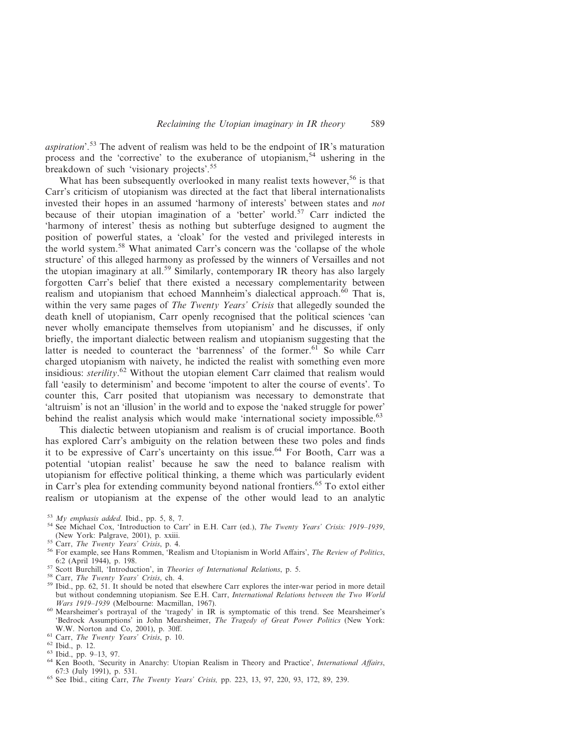*aspiration*'.53 The advent of realism was held to be the endpoint of IR's maturation process and the 'corrective' to the exuberance of utopianism,  $54$  ushering in the breakdown of such 'visionary projects'.<sup>55</sup>

What has been subsequently overlooked in many realist texts however.<sup>56</sup> is that Carr's criticism of utopianism was directed at the fact that liberal internationalists invested their hopes in an assumed 'harmony of interests' between states and *not* because of their utopian imagination of a 'better' world.<sup>57</sup> Carr indicted the 'harmony of interest' thesis as nothing but subterfuge designed to augment the position of powerful states, a 'cloak' for the vested and privileged interests in the world system.58 What animated Carr's concern was the 'collapse of the whole structure' of this alleged harmony as professed by the winners of Versailles and not the utopian imaginary at all.<sup>59</sup> Similarly, contemporary IR theory has also largely forgotten Carr's belief that there existed a necessary complementarity between realism and utopianism that echoed Mannheim's dialectical approach. $60$  That is, within the very same pages of *The Twenty Years' Crisis* that allegedly sounded the death knell of utopianism, Carr openly recognised that the political sciences 'can never wholly emancipate themselves from utopianism' and he discusses, if only briefly, the important dialectic between realism and utopianism suggesting that the latter is needed to counteract the 'barrenness' of the former.<sup>61</sup> So while Carr charged utopianism with naivety, he indicted the realist with something even more insidious: *sterility*. <sup>62</sup> Without the utopian element Carr claimed that realism would fall 'easily to determinism' and become 'impotent to alter the course of events'. To counter this, Carr posited that utopianism was necessary to demonstrate that 'altruism' is not an 'illusion' in the world and to expose the 'naked struggle for power' behind the realist analysis which would make 'international society impossible.<sup>63</sup>

This dialectic between utopianism and realism is of crucial importance. Booth has explored Carr's ambiguity on the relation between these two poles and finds it to be expressive of Carr's uncertainty on this issue.64 For Booth, Carr was a potential 'utopian realist' because he saw the need to balance realism with utopianism for effective political thinking, a theme which was particularly evident in Carr's plea for extending community beyond national frontiers.<sup>65</sup> To extol either realism or utopianism at the expense of the other would lead to an analytic

- 
- <sup>53</sup> *My emphasis added*. Ibid., pp. 5, 8, 7.<br><sup>54</sup> See Michael Cox, 'Introduction to Carr' in E.H. Carr (ed.), *The Twenty Years' Crisis: 1919–1939*, (New York: Palgrave, 2001), p. xxiii.<br><sup>55</sup> Carr, *The Twenty Years' Cris*
- 
- <sup>56</sup> For example, see Hans Rommen, 'Realism and Utopianism in World Affairs', *The Review of Politics*, 6:2 (April 1944), p. 198.
- 
- 
- <sup>57</sup> Scott Burchill, 'Introduction', in *Theories of International Relations*, p. 5.<br><sup>58</sup> Carr, *The Twenty Years' Crisis*, ch. 4.<br><sup>59</sup> Ibid., pp. 62, 51. It should be noted that elsewhere Carr explores the inter-war perio but without condemning utopianism. See E.H. Carr, *International Relations between the Two World Wars 1919–1939* (Melbourne: Macmillan, 1967).<br><sup>60</sup> Mearsheimer's portrayal of the 'tragedy' in IR is symptomatic of this trend. See Mearsheimer's
- 'Bedrock Assumptions' in John Mearsheimer, *The Tragedy of Great Power Politics* (New York:
- 
- <sup>61</sup> Carr, *The Twenty Years' Crisis*, p. 10.<br>
<sup>62</sup> Ibid., p. 12.<br>
<sup>63</sup> Ibid., pp. 9–13, 97.<br>
<sup>64</sup> Ken Booth, 'Security in Anarchy: Utopian Realism in Theory and Practice', *International Affairs*,<br>
<sup>64</sup> Ken Booth, 'Secur
- <sup>65</sup> See Ibid., citing Carr, *The Twenty Years' Crisis*, pp. 223, 13, 97, 220, 93, 172, 89, 239.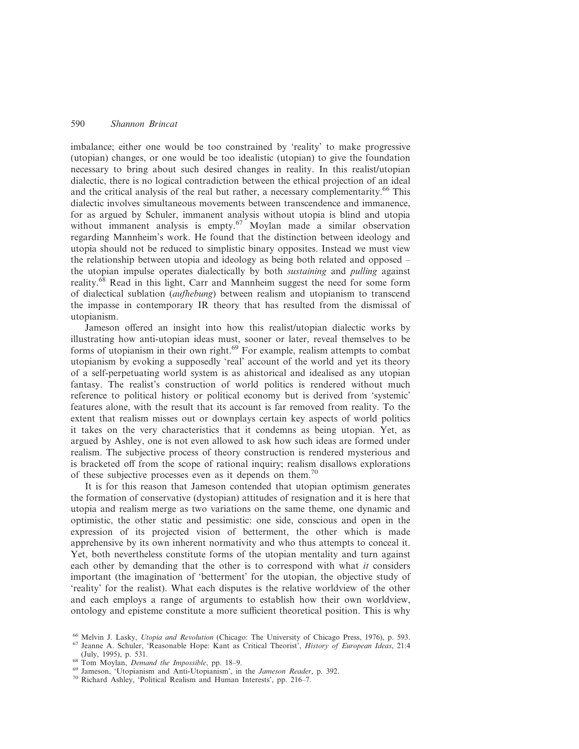imbalance; either one would be too constrained by 'reality' to make progressive (utopian) changes, or one would be too idealistic (utopian) to give the foundation necessary to bring about such desired changes in reality. In this realist/utopian dialectic, there is no logical contradiction between the ethical projection of an ideal and the critical analysis of the real but rather, a necessary complementarity.<sup>66</sup> This dialectic involves simultaneous movements between transcendence and immanence, for as argued by Schuler, immanent analysis without utopia is blind and utopia without immanent analysis is empty.<sup>67</sup> Moylan made a similar observation regarding Mannheim's work. He found that the distinction between ideology and utopia should not be reduced to simplistic binary opposites. Instead we must view the relationship between utopia and ideology as being both related and opposed – the utopian impulse operates dialectically by both *sustaining* and *pulling* against reality.68 Read in this light, Carr and Mannheim suggest the need for some form of dialectical sublation (*aufhebung*) between realism and utopianism to transcend the impasse in contemporary IR theory that has resulted from the dismissal of utopianism.

Jameson offered an insight into how this realist/utopian dialectic works by illustrating how anti-utopian ideas must, sooner or later, reveal themselves to be forms of utopianism in their own right. $69$  For example, realism attempts to combat utopianism by evoking a supposedly 'real' account of the world and yet its theory of a self-perpetuating world system is as ahistorical and idealised as any utopian fantasy. The realist's construction of world politics is rendered without much reference to political history or political economy but is derived from 'systemic' features alone, with the result that its account is far removed from reality. To the extent that realism misses out or downplays certain key aspects of world politics it takes on the very characteristics that it condemns as being utopian. Yet, as argued by Ashley, one is not even allowed to ask how such ideas are formed under realism. The subjective process of theory construction is rendered mysterious and is bracketed off from the scope of rational inquiry; realism disallows explorations of these subjective processes even as it depends on them.70

It is for this reason that Jameson contended that utopian optimism generates the formation of conservative (dystopian) attitudes of resignation and it is here that utopia and realism merge as two variations on the same theme, one dynamic and optimistic, the other static and pessimistic: one side, conscious and open in the expression of its projected vision of betterment, the other which is made apprehensive by its own inherent normativity and who thus attempts to conceal it. Yet, both nevertheless constitute forms of the utopian mentality and turn against each other by demanding that the other is to correspond with what *it* considers important (the imagination of 'betterment' for the utopian, the objective study of 'reality' for the realist). What each disputes is the relative worldview of the other and each employs a range of arguments to establish how their own worldview, ontology and episteme constitute a more sufficient theoretical position. This is why

<sup>66</sup> Melvin J. Lasky, *Utopia and Revolution* (Chicago: The University of Chicago Press, 1976), p. 593. <sup>67</sup> Jeanne A. Schuler, 'Reasonable Hope: Kant as Critical Theorist', *History of European Ideas*, 21:4

<sup>&</sup>lt;sup>68</sup> Tom Moylan, *Demand the Impossible*, pp. 18–9.<br><sup>69</sup> Jameson, 'Utopianism and Anti-Utopianism', in the *Jameson Reader*, p. 392.<br><sup>70</sup> Richard Ashley, 'Political Realism and Human Interests', pp. 216–7.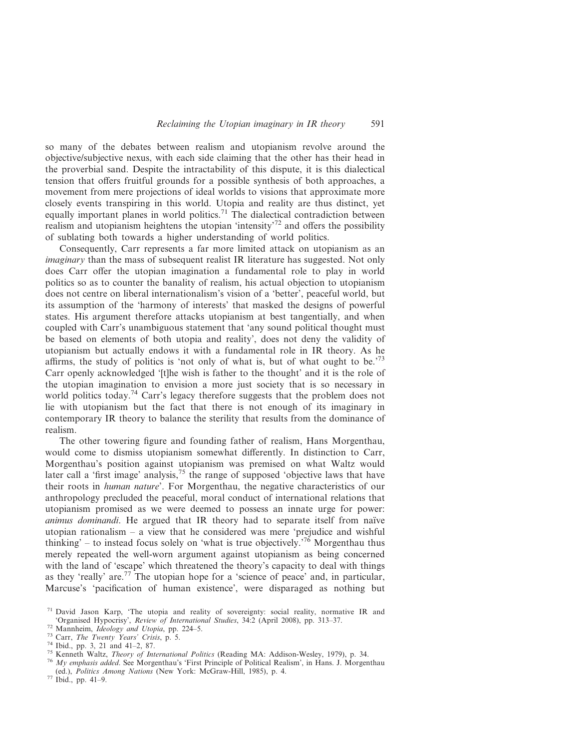so many of the debates between realism and utopianism revolve around the objective/subjective nexus, with each side claiming that the other has their head in the proverbial sand. Despite the intractability of this dispute, it is this dialectical tension that offers fruitful grounds for a possible synthesis of both approaches, a movement from mere projections of ideal worlds to visions that approximate more closely events transpiring in this world. Utopia and reality are thus distinct, yet equally important planes in world politics.<sup>71</sup> The dialectical contradiction between realism and utopianism heightens the utopian 'intensity'72 and offers the possibility of sublating both towards a higher understanding of world politics.

Consequently, Carr represents a far more limited attack on utopianism as an *imaginary* than the mass of subsequent realist IR literature has suggested. Not only does Carr offer the utopian imagination a fundamental role to play in world politics so as to counter the banality of realism, his actual objection to utopianism does not centre on liberal internationalism's vision of a 'better', peaceful world, but its assumption of the 'harmony of interests' that masked the designs of powerful states. His argument therefore attacks utopianism at best tangentially, and when coupled with Carr's unambiguous statement that 'any sound political thought must be based on elements of both utopia and reality', does not deny the validity of utopianism but actually endows it with a fundamental role in IR theory. As he affirms, the study of politics is 'not only of what is, but of what ought to be.<sup>73</sup> Carr openly acknowledged '[t]he wish is father to the thought' and it is the role of the utopian imagination to envision a more just society that is so necessary in world politics today.<sup>74</sup> Carr's legacy therefore suggests that the problem does not lie with utopianism but the fact that there is not enough of its imaginary in contemporary IR theory to balance the sterility that results from the dominance of realism.

The other towering figure and founding father of realism, Hans Morgenthau, would come to dismiss utopianism somewhat differently. In distinction to Carr, Morgenthau's position against utopianism was premised on what Waltz would later call a 'first image' analysis,<sup>75</sup> the range of supposed 'objective laws that have their roots in *human nature*'. For Morgenthau, the negative characteristics of our anthropology precluded the peaceful, moral conduct of international relations that utopianism promised as we were deemed to possess an innate urge for power: *animus dominandi*. He argued that IR theory had to separate itself from naïve utopian rationalism – a view that he considered was mere 'prejudice and wishful thinking' – to instead focus solely on 'what is true objectively.<sup>76</sup> Morgenthau thus merely repeated the well-worn argument against utopianism as being concerned with the land of 'escape' which threatened the theory's capacity to deal with things as they 'really' are.77 The utopian hope for a 'science of peace' and, in particular, Marcuse's 'pacification of human existence', were disparaged as nothing but

<sup>&</sup>lt;sup>71</sup> David Jason Karp, 'The utopia and reality of sovereignty: social reality, normative IR and 'Organised Hypocrisy', *Review of International Studies*,  $34:2$  (April 2008), pp. 313–37.

<sup>&</sup>lt;sup>72</sup> Mannheim, *Ideology and Utopia*, pp. 224–5.<br><sup>73</sup> Carr, *The Twenty Years' Crisis*, p. 5.<br><sup>74</sup> Ibid., pp. 3, 21 and 41–2, 87.<br><sup>75</sup> Kenneth Waltz, *Theory of International Politics* (Reading MA: Addison-Wesley, 1979),

<sup>(</sup>ed.), *Politics Among Nations* (New York: McGraw-Hill, 1985), p. 4. <sup>77</sup> Ibid., pp. 41–9.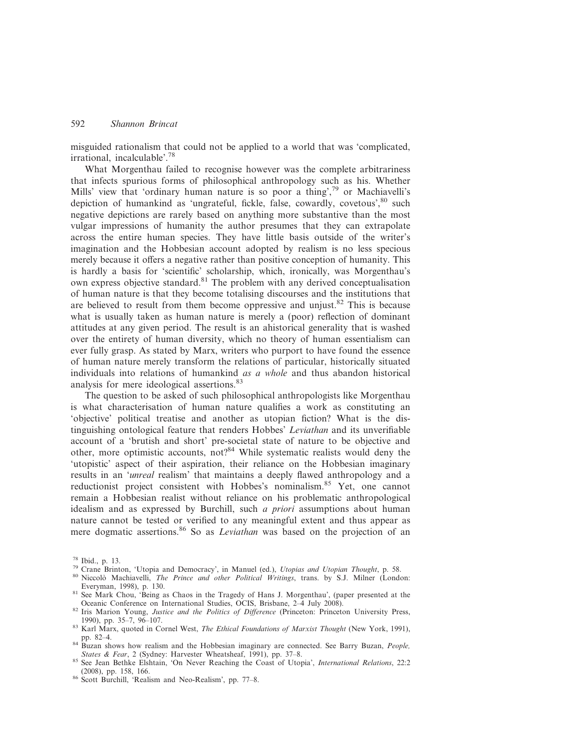misguided rationalism that could not be applied to a world that was 'complicated, irrational, incalculable'.78

What Morgenthau failed to recognise however was the complete arbitrariness that infects spurious forms of philosophical anthropology such as his. Whether Mills' view that 'ordinary human nature is so poor a thing',79 or Machiavelli's depiction of humankind as 'ungrateful, fickle, false, cowardly, covetous',  $80$  such negative depictions are rarely based on anything more substantive than the most vulgar impressions of humanity the author presumes that they can extrapolate across the entire human species. They have little basis outside of the writer's imagination and the Hobbesian account adopted by realism is no less specious merely because it offers a negative rather than positive conception of humanity. This is hardly a basis for 'scientific' scholarship, which, ironically, was Morgenthau's own express objective standard.<sup>81</sup> The problem with any derived conceptualisation of human nature is that they become totalising discourses and the institutions that are believed to result from them become oppressive and unjust. $82$  This is because what is usually taken as human nature is merely a (poor) reflection of dominant attitudes at any given period. The result is an ahistorical generality that is washed over the entirety of human diversity, which no theory of human essentialism can ever fully grasp. As stated by Marx, writers who purport to have found the essence of human nature merely transform the relations of particular, historically situated individuals into relations of humankind *as a whole* and thus abandon historical analysis for mere ideological assertions.<sup>83</sup>

The question to be asked of such philosophical anthropologists like Morgenthau is what characterisation of human nature qualifies a work as constituting an 'objective' political treatise and another as utopian fiction? What is the distinguishing ontological feature that renders Hobbes' *Leviathan* and its unverifiable account of a 'brutish and short' pre-societal state of nature to be objective and other, more optimistic accounts, not?84 While systematic realists would deny the 'utopistic' aspect of their aspiration, their reliance on the Hobbesian imaginary results in an '*unreal* realism' that maintains a deeply flawed anthropology and a reductionist project consistent with Hobbes's nominalism.<sup>85</sup> Yet, one cannot remain a Hobbesian realist without reliance on his problematic anthropological idealism and as expressed by Burchill, such *a priori* assumptions about human nature cannot be tested or verified to any meaningful extent and thus appear as mere dogmatic assertions.<sup>86</sup> So as *Leviathan* was based on the projection of an

<sup>78</sup> Ibid., p. 13. <sup>79</sup> Crane Brinton, 'Utopia and Democracy', in Manuel (ed.), *Utopias and Utopian Thought*, p. 58. <sup>80</sup> Niccolò Machiavelli, *The Prince and other Political Writings*, trans. by S.J. Milner (London:

<sup>&</sup>lt;sup>81</sup> See Mark Chou, 'Being as Chaos in the Tragedy of Hans J. Morgenthau', (paper presented at the Oceanic Conference on International Studies, OCIS, Brisbane, 2–4 July 2008).

<sup>&</sup>lt;sup>82</sup> Iris Marion Young, *Justice and the Politics of Difference* (Princeton: Princeton University Press, 1990), pp. 35–7, 96–107.

<sup>&</sup>lt;sup>83</sup> Karl Marx, quoted in Cornel West, *The Ethical Foundations of Marxist Thought* (New York, 1991), pp. 82–4.

<sup>&</sup>lt;sup>84</sup> Buzan shows how realism and the Hobbesian imaginary are connected. See Barry Buzan, *People,*<br>*States & Fear*, 2 (Sydney: Harvester Wheatsheaf, 1991), pp. 37–8.

<sup>&</sup>lt;sup>85</sup> See Jean Bethke Elshtain, 'On Never Reaching the Coast of Utopia', *International Relations*, 22:2 (2008), pp. 158, 166. <sup>86</sup> Scott Burchill, 'Realism and Neo-Realism', pp. 77–8.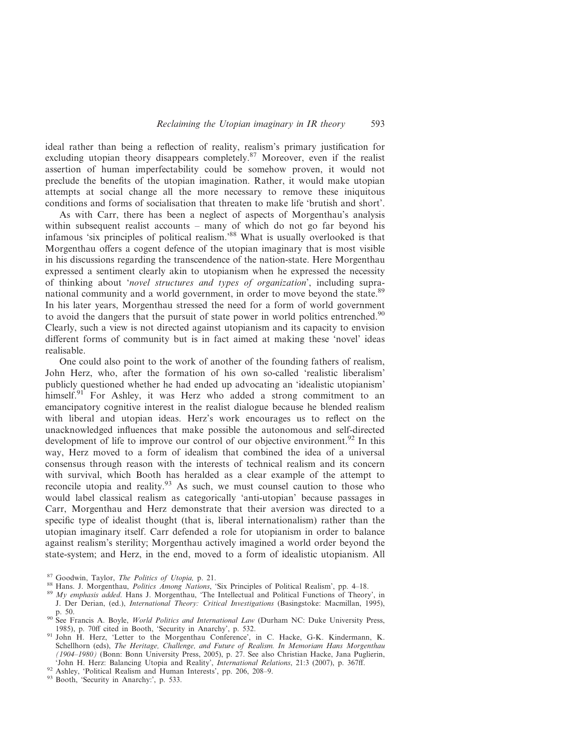ideal rather than being a reflection of reality, realism's primary justification for excluding utopian theory disappears completely.<sup>87</sup> Moreover, even if the realist assertion of human imperfectability could be somehow proven, it would not preclude the benefits of the utopian imagination. Rather, it would make utopian attempts at social change all the more necessary to remove these iniquitous conditions and forms of socialisation that threaten to make life 'brutish and short'.

As with Carr, there has been a neglect of aspects of Morgenthau's analysis within subsequent realist accounts – many of which do not go far beyond his infamous 'six principles of political realism.'88 What is usually overlooked is that Morgenthau offers a cogent defence of the utopian imaginary that is most visible in his discussions regarding the transcendence of the nation-state. Here Morgenthau expressed a sentiment clearly akin to utopianism when he expressed the necessity of thinking about '*novel structures and types of organization*', including supranational community and a world government, in order to move beyond the state.<sup>89</sup> In his later years, Morgenthau stressed the need for a form of world government to avoid the dangers that the pursuit of state power in world politics entrenched.<sup>90</sup> Clearly, such a view is not directed against utopianism and its capacity to envision different forms of community but is in fact aimed at making these 'novel' ideas realisable.

One could also point to the work of another of the founding fathers of realism, John Herz, who, after the formation of his own so-called 'realistic liberalism' publicly questioned whether he had ended up advocating an 'idealistic utopianism' himself.<sup>91</sup> For Ashley, it was Herz who added a strong commitment to an emancipatory cognitive interest in the realist dialogue because he blended realism with liberal and utopian ideas. Herz's work encourages us to reflect on the unacknowledged influences that make possible the autonomous and self-directed development of life to improve our control of our objective environment.<sup>92</sup> In this way, Herz moved to a form of idealism that combined the idea of a universal consensus through reason with the interests of technical realism and its concern with survival, which Booth has heralded as a clear example of the attempt to reconcile utopia and reality.<sup>93</sup> As such, we must counsel caution to those who would label classical realism as categorically 'anti-utopian' because passages in Carr, Morgenthau and Herz demonstrate that their aversion was directed to a specific type of idealist thought (that is, liberal internationalism) rather than the utopian imaginary itself. Carr defended a role for utopianism in order to balance against realism's sterility; Morgenthau actively imagined a world order beyond the state-system; and Herz, in the end, moved to a form of idealistic utopianism. All

<sup>&</sup>lt;sup>87</sup> Goodwin, Taylor, *The Politics of Utopia*, p. 21.<br><sup>88</sup> Hans. J. Morgenthau, *Politics Among Nations*, 'Six Principles of Political Realism', pp. 4–18.<br><sup>89</sup> My emphasis added. Hans J. Morgenthau, 'The Intellectual and J. Der Derian, (ed.), *International Theory: Critical Investigations* (Basingstoke: Macmillan, 1995),

<sup>&</sup>lt;sup>90</sup> See Francis A. Boyle, *World Politics and International Law* (Durham NC: Duke University Press, 1985), p. 70ff cited in Booth, 'Security in Anarchy', p. 532.

<sup>&</sup>lt;sup>91</sup> John H. Herz, 'Letter to the Morgenthau Conference', in C. Hacke, G-K. Kindermann, K. Schellhorn (eds), *The Heritage, Challenge, and Future of Realism. In Memoriam Hans Morgenthau (1904–1980)* (Bonn: Bonn University Press, 2005), p. 27. See also Christian Hacke, Jana Puglierin,

<sup>&</sup>lt;sup>92</sup> Ashley, 'Political Realism and Human Interests', pp. 206, 208–9.<br><sup>93</sup> Booth, 'Security in Anarchy:', p. 533.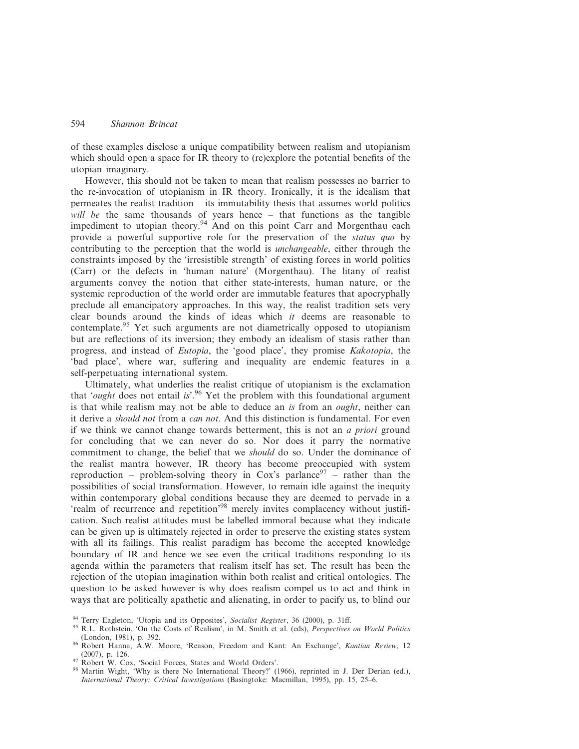of these examples disclose a unique compatibility between realism and utopianism which should open a space for IR theory to (re)explore the potential benefits of the utopian imaginary.

However, this should not be taken to mean that realism possesses no barrier to the re-invocation of utopianism in IR theory. Ironically, it is the idealism that permeates the realist tradition – its immutability thesis that assumes world politics *will be* the same thousands of years hence – that functions as the tangible impediment to utopian theory.<sup>94</sup> And on this point Carr and Morgenthau each provide a powerful supportive role for the preservation of the *status quo* by contributing to the perception that the world is *unchangeable*, either through the constraints imposed by the 'irresistible strength' of existing forces in world politics (Carr) or the defects in 'human nature' (Morgenthau). The litany of realist arguments convey the notion that either state-interests, human nature, or the systemic reproduction of the world order are immutable features that apocryphally preclude all emancipatory approaches. In this way, the realist tradition sets very clear bounds around the kinds of ideas which *it* deems are reasonable to contemplate.95 Yet such arguments are not diametrically opposed to utopianism but are reflections of its inversion; they embody an idealism of stasis rather than progress, and instead of *Eutopia*, the 'good place', they promise *Kakotopia*, the 'bad place', where war, suffering and inequality are endemic features in a self-perpetuating international system.

Ultimately, what underlies the realist critique of utopianism is the exclamation that '*ought* does not entail *is*'.96 Yet the problem with this foundational argument is that while realism may not be able to deduce an *is* from an *ought*, neither can it derive a *should not* from a *can not*. And this distinction is fundamental. For even if we think we cannot change towards betterment, this is not an *a priori* ground for concluding that we can never do so. Nor does it parry the normative commitment to change, the belief that we *should* do so. Under the dominance of the realist mantra however, IR theory has become preoccupied with system reproduction – problem-solving theory in Cox's parlance<sup>97</sup> – rather than the possibilities of social transformation. However, to remain idle against the inequity within contemporary global conditions because they are deemed to pervade in a 'realm of recurrence and repetition'98 merely invites complacency without justification. Such realist attitudes must be labelled immoral because what they indicate can be given up is ultimately rejected in order to preserve the existing states system with all its failings. This realist paradigm has become the accepted knowledge boundary of IR and hence we see even the critical traditions responding to its agenda within the parameters that realism itself has set. The result has been the rejection of the utopian imagination within both realist and critical ontologies. The question to be asked however is why does realism compel us to act and think in ways that are politically apathetic and alienating, in order to pacify us, to blind our

<sup>94</sup> Terry Eagleton, 'Utopia and its Opposites', *Socialist Register*, 36 (2000), p. 31ff. <sup>95</sup> R.L. Rothstein, 'On the Costs of Realism', in M. Smith et al. (eds), *Perspectives on World Politics*

<sup>(</sup>London, 1981), p. 392. <sup>96</sup> Robert Hanna, A.W. Moore, 'Reason, Freedom and Kant: An Exchange', *Kantian Review*, 12 (2007), p. 126.<br><sup>97</sup> Robert W. Cox, 'Social Forces, States and World Orders'.<br><sup>98</sup> Martin Wight, 'Why is there No International Theory?' (1966), reprinted in J. Der Derian (ed.),

*International Theory: Critical Investigations* (Basingtoke: Macmillan, 1995), pp. 15, 25–6.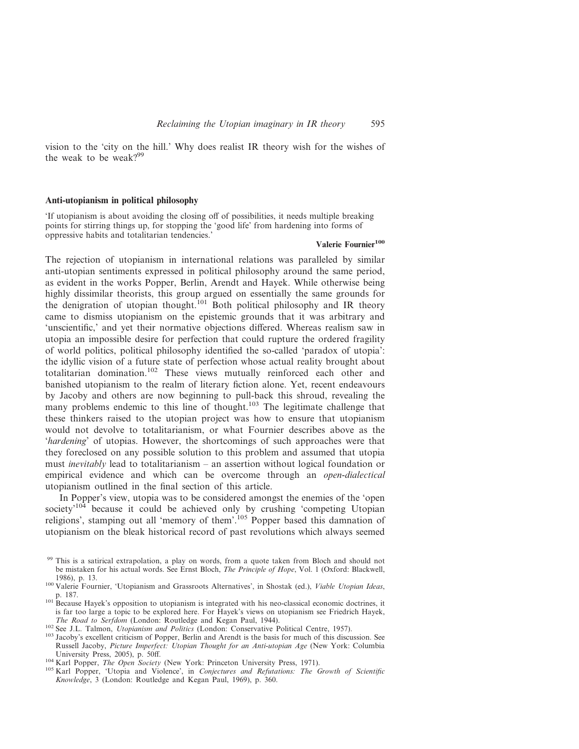vision to the 'city on the hill.' Why does realist IR theory wish for the wishes of the weak to be weak? $99$ 

#### **Anti-utopianism in political philosophy**

'If utopianism is about avoiding the closing off of possibilities, it needs multiple breaking points for stirring things up, for stopping the 'good life' from hardening into forms of oppressive habits and totalitarian tendencies.'

# Valerie Fournier<sup>100</sup>

The rejection of utopianism in international relations was paralleled by similar anti-utopian sentiments expressed in political philosophy around the same period, as evident in the works Popper, Berlin, Arendt and Hayek. While otherwise being highly dissimilar theorists, this group argued on essentially the same grounds for the denigration of utopian thought.<sup>101</sup> Both political philosophy and IR theory came to dismiss utopianism on the epistemic grounds that it was arbitrary and 'unscientific,' and yet their normative objections differed. Whereas realism saw in utopia an impossible desire for perfection that could rupture the ordered fragility of world politics, political philosophy identified the so-called 'paradox of utopia': the idyllic vision of a future state of perfection whose actual reality brought about totalitarian domination.<sup>102</sup> These views mutually reinforced each other and banished utopianism to the realm of literary fiction alone. Yet, recent endeavours by Jacoby and others are now beginning to pull-back this shroud, revealing the many problems endemic to this line of thought.<sup>103</sup> The legitimate challenge that these thinkers raised to the utopian project was how to ensure that utopianism would not devolve to totalitarianism, or what Fournier describes above as the '*hardening*' of utopias. However, the shortcomings of such approaches were that they foreclosed on any possible solution to this problem and assumed that utopia must *inevitably* lead to totalitarianism – an assertion without logical foundation or empirical evidence and which can be overcome through an *open-dialectical* utopianism outlined in the final section of this article.

In Popper's view, utopia was to be considered amongst the enemies of the 'open society<sup>104</sup> because it could be achieved only by crushing 'competing Utopian religions', stamping out all 'memory of them'.105 Popper based this damnation of utopianism on the bleak historical record of past revolutions which always seemed

<sup>&</sup>lt;sup>99</sup> This is a satirical extrapolation, a play on words, from a quote taken from Bloch and should not be mistaken for his actual words. See Ernst Bloch, *The Principle of Hope*, Vol. 1 (Oxford: Blackwell,

<sup>1986),</sup> p. 13. <sup>100</sup> Valerie Fournier, 'Utopianism and Grassroots Alternatives', in Shostak (ed.), *Viable Utopian Ideas*,

<sup>&</sup>lt;sup>101</sup> Because Hayek's opposition to utopianism is integrated with his neo-classical economic doctrines, it is far too large a topic to be explored here. For Hayek's views on utopianism see Friedrich Hayek, The Road to Serfdom (London: Routledge and Kegan Paul, 1944).

 $102$  See J.L. Talmon, *Utopianism and Politics* (London: Conservative Political Centre, 1957).<br><sup>103</sup> Jacoby's excellent criticism of Popper, Berlin and Arendt is the basis for much of this discussion. See Russell Jacoby, *Picture Imperfect: Utopian Thought for an Anti-utopian Age* (New York: Columbia

University Press, 2005), p. 50ff. <sup>104</sup> Karl Popper, *The Open Society* (New York: Princeton University Press, 1971). <sup>105</sup> Karl Popper, 'Utopia and Violence', in *Conjectures and Refutations: The Growth of Scientific Knowledge*, 3 (London: Routledge and Kegan Paul, 1969), p. 360.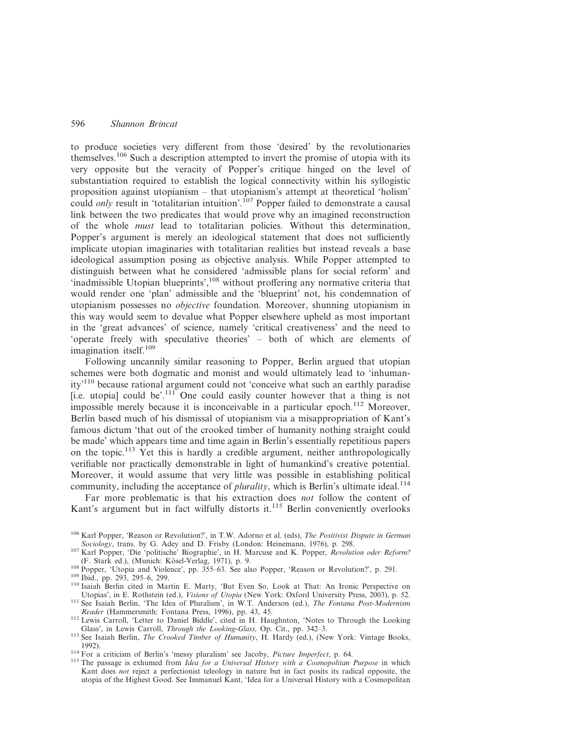to produce societies very different from those 'desired' by the revolutionaries themselves.106 Such a description attempted to invert the promise of utopia with its very opposite but the veracity of Popper's critique hinged on the level of substantiation required to establish the logical connectivity within his syllogistic proposition against utopianism – that utopianism's attempt at theoretical 'holism' could *only* result in 'totalitarian intuition'.<sup>107</sup> Popper failed to demonstrate a causal link between the two predicates that would prove why an imagined reconstruction of the whole *must* lead to totalitarian policies. Without this determination, Popper's argument is merely an ideological statement that does not sufficiently implicate utopian imaginaries with totalitarian realities but instead reveals a base ideological assumption posing as objective analysis. While Popper attempted to distinguish between what he considered 'admissible plans for social reform' and 'inadmissible Utopian blueprints',<sup>108</sup> without proffering any normative criteria that would render one 'plan' admissible and the 'blueprint' not, his condemnation of utopianism possesses no *objective* foundation. Moreover, shunning utopianism in this way would seem to devalue what Popper elsewhere upheld as most important in the 'great advances' of science, namely 'critical creativeness' and the need to 'operate freely with speculative theories' – both of which are elements of imagination itself. $109$ 

Following uncannily similar reasoning to Popper, Berlin argued that utopian schemes were both dogmatic and monist and would ultimately lead to 'inhumanity'110 because rational argument could not 'conceive what such an earthly paradise [i.e. utopia] could be'.111 One could easily counter however that a thing is not impossible merely because it is inconceivable in a particular epoch.<sup>112</sup> Moreover, Berlin based much of his dismissal of utopianism via a misappropriation of Kant's famous dictum 'that out of the crooked timber of humanity nothing straight could be made' which appears time and time again in Berlin's essentially repetitious papers on the topic.<sup>113</sup> Yet this is hardly a credible argument, neither anthropologically verifiable nor practically demonstrable in light of humankind's creative potential. Moreover, it would assume that very little was possible in establishing political community, including the acceptance of *plurality*, which is Berlin's ultimate ideal.<sup>114</sup>

Far more problematic is that his extraction does *not* follow the content of Kant's argument but in fact wilfully distorts it.<sup>115</sup> Berlin conveniently overlooks

<sup>106</sup> Karl Popper, 'Reason or Revolution?', in T.W. Adorno et al. (eds), *The Positivist Dispute in German*

<sup>&</sup>lt;sup>107</sup> Karl Popper, 'Die 'politische' Biographie', in H. Marcuse and K. Popper, *Revolution oder Reform?*<br>(F. Stark ed.), (Munich: Kösel-Verlag, 1971), p. 9.

<sup>&</sup>lt;sup>108</sup> Popper, 'Utopia and Violence', pp. 355–63. See also Popper, 'Reason or Revolution?', p. 291.<br><sup>109</sup> Ibid., pp. 293, 295–6, 299.<br><sup>110</sup> Isaiah Berlin cited in Martin E. Marty, 'But Even So, Look at That: An Ironic Pers

<sup>&</sup>lt;sup>111</sup> See Isaiah Berlin, 'The Idea of Pluralism', in W.T. Anderson (ed.), *The Fontana Post-Modernism Reader* (Hammersmith: Fontana Press, 1996), pp. 43, 45.

<sup>&</sup>lt;sup>112</sup> Lewis Carroll, 'Letter to Daniel Biddle', cited in H. Haughnton, 'Notes to Through the Looking Glass', in Lewis Carroll, *Through the Looking-Glass*, Op. Cit., pp. 342–3.

<sup>&</sup>lt;sup>113</sup> See Isaiah Berlin, *The Crooked Timber of Humanity*, H. Hardy (ed.), (New York: Vintage Books, 1992).

<sup>&</sup>lt;sup>114</sup> For a criticism of Berlin's 'messy pluralism' see Jacoby, *Picture Imperfect*, p. 64.<br><sup>115</sup> The passage is exhumed from *Idea for a Universal History with a Cosmopolitan Purpose* in which Kant does *not* reject a perfectionist teleology in nature but in fact posits its radical opposite, the utopia of the Highest Good. See Immanuel Kant, 'Idea for a Universal History with a Cosmopolitan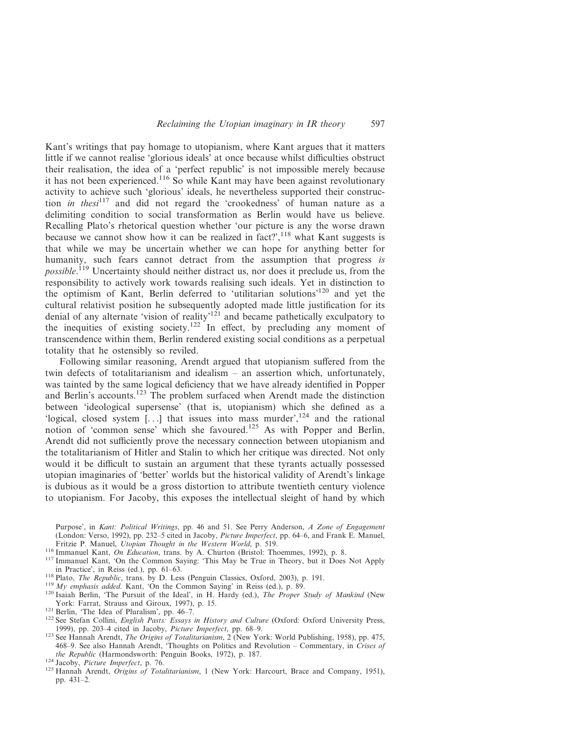Kant's writings that pay homage to utopianism, where Kant argues that it matters little if we cannot realise 'glorious ideals' at once because whilst difficulties obstruct their realisation, the idea of a 'perfect republic' is not impossible merely because it has not been experienced.<sup>116</sup> So while Kant may have been against revolutionary activity to achieve such 'glorious' ideals, he nevertheless supported their construction *in thesi*<sup>117</sup> and did not regard the 'crookedness' of human nature as a delimiting condition to social transformation as Berlin would have us believe. Recalling Plato's rhetorical question whether 'our picture is any the worse drawn because we cannot show how it can be realized in fact?',<sup>118</sup> what Kant suggests is that while we may be uncertain whether we can hope for anything better for humanity, such fears cannot detract from the assumption that progress *is possible*. <sup>119</sup> Uncertainty should neither distract us, nor does it preclude us, from the responsibility to actively work towards realising such ideals. Yet in distinction to the optimism of Kant, Berlin deferred to 'utilitarian solutions'120 and yet the cultural relativist position he subsequently adopted made little justification for its denial of any alternate 'vision of reality'121 and became pathetically exculpatory to the inequities of existing society.<sup>122</sup> In effect, by precluding any moment of transcendence within them, Berlin rendered existing social conditions as a perpetual totality that he ostensibly so reviled.

Following similar reasoning, Arendt argued that utopianism suffered from the twin defects of totalitarianism and idealism – an assertion which, unfortunately, was tainted by the same logical deficiency that we have already identified in Popper and Berlin's accounts.<sup>123</sup> The problem surfaced when Arendt made the distinction between 'ideological supersense' (that is, utopianism) which she defined as a 'logical, closed system [...] that issues into mass murder',  $^{124}$  and the rational notion of 'common sense' which she favoured.<sup>125</sup> As with Popper and Berlin, Arendt did not sufficiently prove the necessary connection between utopianism and the totalitarianism of Hitler and Stalin to which her critique was directed. Not only would it be difficult to sustain an argument that these tyrants actually possessed utopian imaginaries of 'better' worlds but the historical validity of Arendt's linkage is dubious as it would be a gross distortion to attribute twentieth century violence to utopianism. For Jacoby, this exposes the intellectual sleight of hand by which

Purpose', in *Kant: Political Writings*, pp. 46 and 51. See Perry Anderson, *A Zone of Engagement* (London: Verso, 1992), pp. 232–5 cited in Jacoby, *Picture Imperfect*, pp. 64–6, and Frank E. Manuel,

- <sup>116</sup> Immanuel Kant, *On Education*, trans. by A. Churton (Bristol: Thoemmes, 1992), p. 8.<br><sup>117</sup> Immanuel Kant, 'On the Common Saying: 'This May be True in Theory, but it Does Not Apply<br>in Practice', in Reiss (ed.), pp. 6
- 
- 
- <sup>118</sup> Plato, *The Republic*, trans. by D. Less (Penguin Classics, Oxford, 2003), p. 191.<br><sup>119</sup> My emphasis added. Kant, 'On the Common Saying' in Reiss (ed.), p. 89.<br><sup>120</sup> Isaiah Berlin, 'The Pursuit of the Ideal', in H. H
- 
- <sup>121</sup> Berlin, 'The Idea of Pluralism', pp. 46–7. <sup>122</sup> See Stefan Collini, *English Pasts: Essays in History and Culture* (Oxford: Oxford University Press, 1999), pp. 203–4 cited in Jacoby, *Picture Imperfect*, pp. 68–9.
- <sup>123</sup> See Hannah Arendt, *The Origins of Totalitarianism*, 2 (New York: World Publishing, 1958), pp. 475, 468–9. See also Hannah Arendt, 'Thoughts on Politics and Revolution – Commentary, in *Crises of*
- 
- <sup>124</sup> Jacoby, *Picture Imperfect*, p. 76. **125. 124 Jacoby**, *Picture Imperfect*, p. 76. 125 Hannah Arendt, *Origins of Totalitarianism*, 1 (New York: Harcourt, Brace and Company, 1951), pp. 431–2.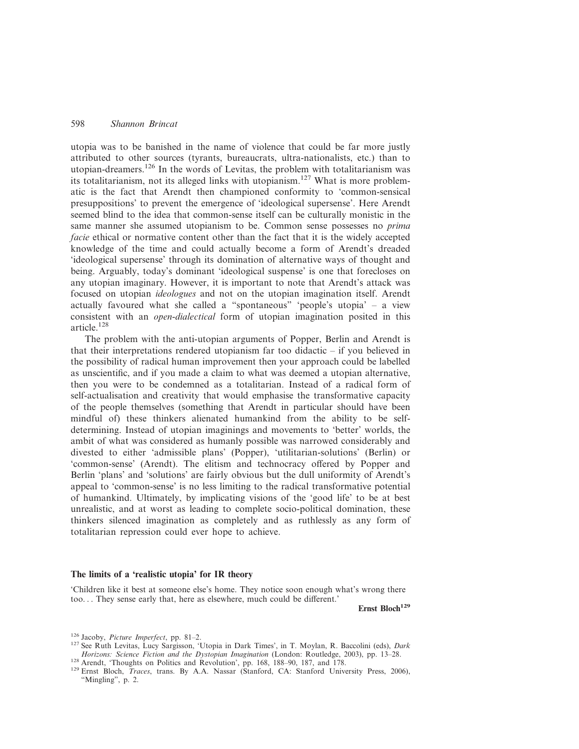utopia was to be banished in the name of violence that could be far more justly attributed to other sources (tyrants, bureaucrats, ultra-nationalists, etc.) than to utopian-dreamers.<sup>126</sup> In the words of Levitas, the problem with totalitarianism was its totalitarianism, not its alleged links with utopianism.<sup>127</sup> What is more problematic is the fact that Arendt then championed conformity to 'common-sensical presuppositions' to prevent the emergence of 'ideological supersense'. Here Arendt seemed blind to the idea that common-sense itself can be culturally monistic in the same manner she assumed utopianism to be. Common sense possesses no *prima facie* ethical or normative content other than the fact that it is the widely accepted knowledge of the time and could actually become a form of Arendt's dreaded 'ideological supersense' through its domination of alternative ways of thought and being. Arguably, today's dominant 'ideological suspense' is one that forecloses on any utopian imaginary. However, it is important to note that Arendt's attack was focused on utopian *ideologues* and not on the utopian imagination itself. Arendt actually favoured what she called a "spontaneous" 'people's utopia' – a view consistent with an *open-dialectical* form of utopian imagination posited in this article.<sup>128</sup>

The problem with the anti-utopian arguments of Popper, Berlin and Arendt is that their interpretations rendered utopianism far too didactic – if you believed in the possibility of radical human improvement then your approach could be labelled as unscientific, and if you made a claim to what was deemed a utopian alternative, then you were to be condemned as a totalitarian. Instead of a radical form of self-actualisation and creativity that would emphasise the transformative capacity of the people themselves (something that Arendt in particular should have been mindful of) these thinkers alienated humankind from the ability to be selfdetermining. Instead of utopian imaginings and movements to 'better' worlds, the ambit of what was considered as humanly possible was narrowed considerably and divested to either 'admissible plans' (Popper), 'utilitarian-solutions' (Berlin) or 'common-sense' (Arendt). The elitism and technocracy offered by Popper and Berlin 'plans' and 'solutions' are fairly obvious but the dull uniformity of Arendt's appeal to 'common-sense' is no less limiting to the radical transformative potential of humankind. Ultimately, by implicating visions of the 'good life' to be at best unrealistic, and at worst as leading to complete socio-political domination, these thinkers silenced imagination as completely and as ruthlessly as any form of totalitarian repression could ever hope to achieve.

## **The limits of a 'realistic utopia' for IR theory**

'Children like it best at someone else's home. They notice soon enough what's wrong there too. . . They sense early that, here as elsewhere, much could be different.'

Ernst Bloch<sup>129</sup>

<sup>&</sup>lt;sup>126</sup> Jacoby, *Picture Imperfect*, pp. 81–2.<br><sup>127</sup> See Ruth Levitas, Lucy Sargisson, 'Utopia in Dark Times', in T. Moylan, R. Baccolini (eds), *Dark*<br>*Horizons: Science Fiction and the Dystopian Imagination* (London: Routl

<sup>&</sup>lt;sup>128</sup> Arendt, 'Thoughts on Politics and Revolution', pp. 168, 188–90, 187, and 178.<br><sup>129</sup> Ernst Bloch, *Traces*, trans. By A.A. Nassar (Stanford, CA: Stanford University Press, 2006), "Mingling", p. 2.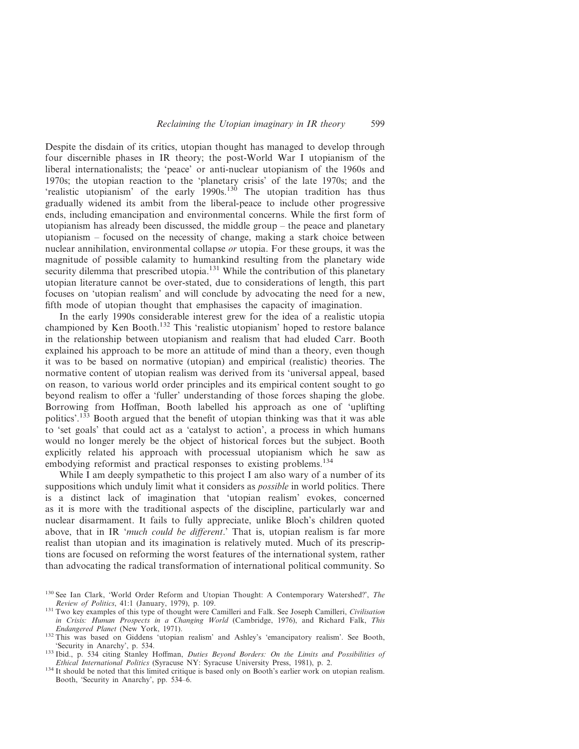Despite the disdain of its critics, utopian thought has managed to develop through four discernible phases in IR theory; the post-World War I utopianism of the liberal internationalists; the 'peace' or anti-nuclear utopianism of the 1960s and 1970s; the utopian reaction to the 'planetary crisis' of the late 1970s; and the 'realistic utopianism' of the early  $1990s$ .<sup>130</sup> The utopian tradition has thus gradually widened its ambit from the liberal-peace to include other progressive ends, including emancipation and environmental concerns. While the first form of utopianism has already been discussed, the middle group – the peace and planetary utopianism – focused on the necessity of change, making a stark choice between nuclear annihilation, environmental collapse *or* utopia. For these groups, it was the magnitude of possible calamity to humankind resulting from the planetary wide security dilemma that prescribed utopia.<sup>131</sup> While the contribution of this planetary utopian literature cannot be over-stated, due to considerations of length, this part focuses on 'utopian realism' and will conclude by advocating the need for a new, fifth mode of utopian thought that emphasises the capacity of imagination.

In the early 1990s considerable interest grew for the idea of a realistic utopia championed by Ken Booth.132 This 'realistic utopianism' hoped to restore balance in the relationship between utopianism and realism that had eluded Carr. Booth explained his approach to be more an attitude of mind than a theory, even though it was to be based on normative (utopian) and empirical (realistic) theories. The normative content of utopian realism was derived from its 'universal appeal, based on reason, to various world order principles and its empirical content sought to go beyond realism to offer a 'fuller' understanding of those forces shaping the globe. Borrowing from Hoffman, Booth labelled his approach as one of 'uplifting politics'.133 Booth argued that the benefit of utopian thinking was that it was able to 'set goals' that could act as a 'catalyst to action', a process in which humans would no longer merely be the object of historical forces but the subject. Booth explicitly related his approach with processual utopianism which he saw as embodying reformist and practical responses to existing problems.<sup>134</sup>

While I am deeply sympathetic to this project I am also wary of a number of its suppositions which unduly limit what it considers as *possible* in world politics. There is a distinct lack of imagination that 'utopian realism' evokes, concerned as it is more with the traditional aspects of the discipline, particularly war and nuclear disarmament. It fails to fully appreciate, unlike Bloch's children quoted above, that in IR '*much could be different*.' That is, utopian realism is far more realist than utopian and its imagination is relatively muted. Much of its prescriptions are focused on reforming the worst features of the international system, rather than advocating the radical transformation of international political community. So

<sup>&</sup>lt;sup>130</sup> See Ian Clark, 'World Order Reform and Utopian Thought: A Contemporary Watershed?', *The Review of Politics*, 41:1 (January, 1979), p. 109.

<sup>&</sup>lt;sup>131</sup> Two key examples of this type of thought were Camilleri and Falk. See Joseph Camilleri, *Civilisation in Crisis: Human Prospects in a Changing World* (Cambridge, 1976), and Richard Falk, *This*

*Endangered Your Community Community* Community Community Community Community Community Community Community Community Community Community Community Community Community Community Community Community Community Community Comm

<sup>&</sup>lt;sup>133</sup> Ibid., p. 534 citing Stanley Hoffman, *Duties Beyond Borders: On the Limits and Possibilities of Ethical International Politics (Syracuse NY: Syracuse University Press, 1981), p. 2.* 

<sup>&</sup>lt;sup>134</sup> It should be noted that this limited critique is based only on Booth's earlier work on utopian realism. Booth, 'Security in Anarchy', pp. 534–6.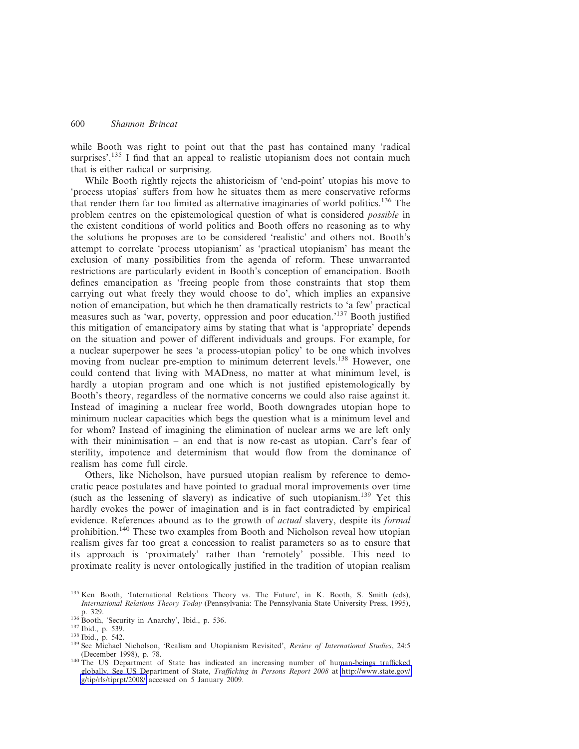while Booth was right to point out that the past has contained many 'radical surprises', $135$  I find that an appeal to realistic utopianism does not contain much that is either radical or surprising.

While Booth rightly rejects the ahistoricism of 'end-point' utopias his move to 'process utopias' suffers from how he situates them as mere conservative reforms that render them far too limited as alternative imaginaries of world politics.136 The problem centres on the epistemological question of what is considered *possible* in the existent conditions of world politics and Booth offers no reasoning as to why the solutions he proposes are to be considered 'realistic' and others not. Booth's attempt to correlate 'process utopianism' as 'practical utopianism' has meant the exclusion of many possibilities from the agenda of reform. These unwarranted restrictions are particularly evident in Booth's conception of emancipation. Booth defines emancipation as 'freeing people from those constraints that stop them carrying out what freely they would choose to do', which implies an expansive notion of emancipation, but which he then dramatically restricts to 'a few' practical measures such as 'war, poverty, oppression and poor education.'137 Booth justified this mitigation of emancipatory aims by stating that what is 'appropriate' depends on the situation and power of different individuals and groups. For example, for a nuclear superpower he sees 'a process-utopian policy' to be one which involves moving from nuclear pre-emption to minimum deterrent levels.<sup>138</sup> However, one could contend that living with MADness, no matter at what minimum level, is hardly a utopian program and one which is not justified epistemologically by Booth's theory, regardless of the normative concerns we could also raise against it. Instead of imagining a nuclear free world, Booth downgrades utopian hope to minimum nuclear capacities which begs the question what is a minimum level and for whom? Instead of imagining the elimination of nuclear arms we are left only with their minimisation – an end that is now re-cast as utopian. Carr's fear of sterility, impotence and determinism that would flow from the dominance of realism has come full circle.

Others, like Nicholson, have pursued utopian realism by reference to democratic peace postulates and have pointed to gradual moral improvements over time (such as the lessening of slavery) as indicative of such utopianism.139 Yet this hardly evokes the power of imagination and is in fact contradicted by empirical evidence. References abound as to the growth of *actual* slavery, despite its *formal* prohibition.140 These two examples from Booth and Nicholson reveal how utopian realism gives far too great a concession to realist parameters so as to ensure that its approach is 'proximately' rather than 'remotely' possible. This need to proximate reality is never ontologically justified in the tradition of utopian realism

<sup>135</sup> Ken Booth, 'International Relations Theory vs. The Future', in K. Booth, S. Smith (eds), *International Relations Theory Today* (Pennsylvania: The Pennsylvania State University Press, 1995), p. 329.<br><sup>136</sup> Booth, 'Security in Anarchy', Ibid., p. 536.<br><sup>137</sup> Ibid., p. 539.<br><sup>138</sup> Ibid., p. 542.<br><sup>139</sup> See Michael Nicholson, 'Realism and Utopianism Revisited', *Review of International Studies*, 24:5

<sup>(</sup>December 1998), p. 78. <sup>140</sup> The US Department of State has indicated an increasing number of human-beings trafficked globally. See US Department of State, *Trafficking in Persons Report 2008* at [http://www.state.gov/](http://www.state.gov/g/tip/rls/tiprpt/2008/) [g/tip/rls/tiprpt/2008/](http://www.state.gov/g/tip/rls/tiprpt/2008/) accessed on 5 January 2009.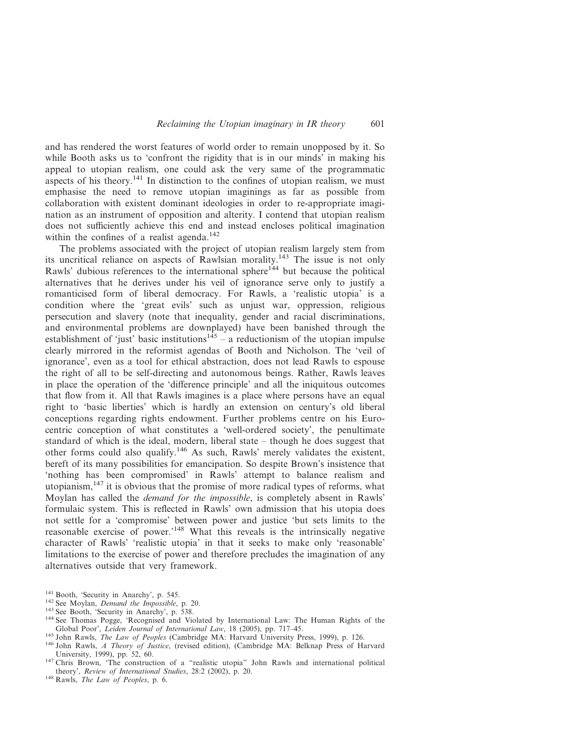and has rendered the worst features of world order to remain unopposed by it. So while Booth asks us to 'confront the rigidity that is in our minds' in making his appeal to utopian realism, one could ask the very same of the programmatic aspects of his theory.<sup>141</sup> In distinction to the confines of utopian realism, we must emphasise the need to remove utopian imaginings as far as possible from collaboration with existent dominant ideologies in order to re-appropriate imagination as an instrument of opposition and alterity. I contend that utopian realism does not sufficiently achieve this end and instead encloses political imagination within the confines of a realist agenda.<sup>142</sup>

The problems associated with the project of utopian realism largely stem from its uncritical reliance on aspects of Rawlsian morality.<sup>143</sup> The issue is not only Rawls' dubious references to the international sphere<sup>144</sup> but because the political alternatives that he derives under his veil of ignorance serve only to justify a romanticised form of liberal democracy. For Rawls, a 'realistic utopia' is a condition where the 'great evils' such as unjust war, oppression, religious persecution and slavery (note that inequality, gender and racial discriminations, and environmental problems are downplayed) have been banished through the establishment of 'just' basic institutions<sup>145</sup> – a reductionism of the utopian impulse clearly mirrored in the reformist agendas of Booth and Nicholson. The 'veil of ignorance', even as a tool for ethical abstraction, does not lead Rawls to espouse the right of all to be self-directing and autonomous beings. Rather, Rawls leaves in place the operation of the 'difference principle' and all the iniquitous outcomes that flow from it. All that Rawls imagines is a place where persons have an equal right to 'basic liberties' which is hardly an extension on century's old liberal conceptions regarding rights endowment. Further problems centre on his Eurocentric conception of what constitutes a 'well-ordered society', the penultimate standard of which is the ideal, modern, liberal state – though he does suggest that other forms could also qualify.<sup>146</sup> As such, Rawls' merely validates the existent, bereft of its many possibilities for emancipation. So despite Brown's insistence that 'nothing has been compromised' in Rawls' attempt to balance realism and utopianism, $147$  it is obvious that the promise of more radical types of reforms, what Moylan has called the *demand for the impossible*, is completely absent in Rawls' formulaic system. This is reflected in Rawls' own admission that his utopia does not settle for a 'compromise' between power and justice 'but sets limits to the reasonable exercise of power.'148 What this reveals is the intrinsically negative character of Rawls' 'realistic utopia' in that it seeks to make only 'reasonable' limitations to the exercise of power and therefore precludes the imagination of any alternatives outside that very framework.

- 
- 
- 

- 
- <sup>145</sup> John Rawls, *The Law of Peoples* (Cambridge MA: Harvard University Press, 1999), p. 126.<br><sup>146</sup> John Rawls, *A Theory of Justice*, (revised edition), (Cambridge MA: Belknap Press of Harvard University, 1999), pp. 52,
- <sup>147</sup> Chris Brown, 'The construction of a "realistic utopia" John Rawls and international political theory', *Review of International Studies*, 28:2 (2002), p. 20. <sup>148</sup> Rawls, *The Law of Peoples*, p. 6.
- 

<sup>&</sup>lt;sup>141</sup> Booth, 'Security in Anarchy', p. 545.<br>
<sup>142</sup> See Moylan, *Demand the Impossible*, p. 20.<br>
<sup>143</sup> See Booth, 'Security in Anarchy', p. 538.<br>
<sup>144</sup> See Thomas Pogge, 'Recognised and Violated by International Law: The Hu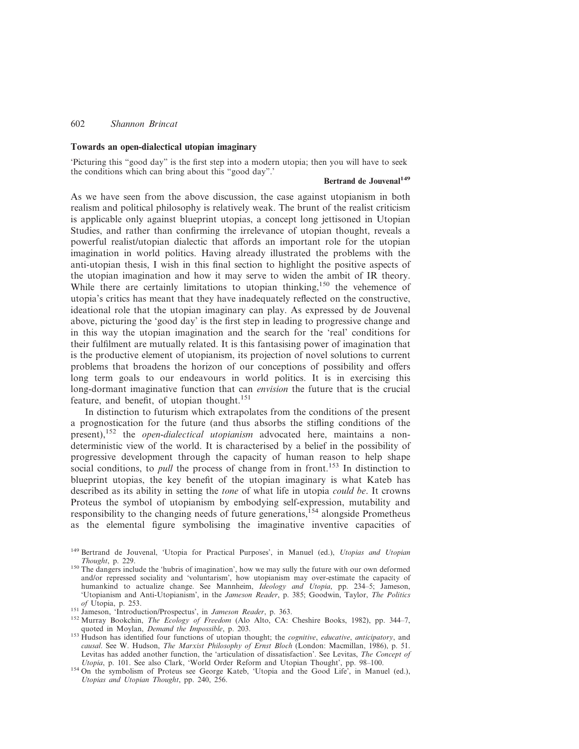### **Towards an open-dialectical utopian imaginary**

'Picturing this "good day" is the first step into a modern utopia; then you will have to seek the conditions which can bring about this "good day".'

## Bertrand de Jouvenal<sup>149</sup>

As we have seen from the above discussion, the case against utopianism in both realism and political philosophy is relatively weak. The brunt of the realist criticism is applicable only against blueprint utopias, a concept long jettisoned in Utopian Studies, and rather than confirming the irrelevance of utopian thought, reveals a powerful realist/utopian dialectic that affords an important role for the utopian imagination in world politics. Having already illustrated the problems with the anti-utopian thesis, I wish in this final section to highlight the positive aspects of the utopian imagination and how it may serve to widen the ambit of IR theory. While there are certainly limitations to utopian thinking,  $150$  the vehemence of utopia's critics has meant that they have inadequately reflected on the constructive, ideational role that the utopian imaginary can play. As expressed by de Jouvenal above, picturing the 'good day' is the first step in leading to progressive change and in this way the utopian imagination and the search for the 'real' conditions for their fulfilment are mutually related. It is this fantasising power of imagination that is the productive element of utopianism, its projection of novel solutions to current problems that broadens the horizon of our conceptions of possibility and offers long term goals to our endeavours in world politics. It is in exercising this long-dormant imaginative function that can *envision* the future that is the crucial feature, and benefit, of utopian thought.<sup>151</sup>

In distinction to futurism which extrapolates from the conditions of the present a prognostication for the future (and thus absorbs the stifling conditions of the present),152 the *open-dialectical utopianism* advocated here, maintains a nondeterministic view of the world. It is characterised by a belief in the possibility of progressive development through the capacity of human reason to help shape social conditions, to *pull* the process of change from in front.<sup>153</sup> In distinction to blueprint utopias, the key benefit of the utopian imaginary is what Kateb has described as its ability in setting the *tone* of what life in utopia *could be*. It crowns Proteus the symbol of utopianism by embodying self-expression, mutability and responsibility to the changing needs of future generations,<sup>154</sup> alongside Prometheus as the elemental figure symbolising the imaginative inventive capacities of

<sup>149</sup> Bertrand de Jouvenal, 'Utopia for Practical Purposes', in Manuel (ed.), *Utopias and Utopian*

<sup>&</sup>lt;sup>150</sup> The dangers include the 'hubris of imagination', how we may sully the future with our own deformed and/or repressed sociality and 'voluntarism', how utopianism may over-estimate the capacity of humankind to actualize change. See Mannheim, *Ideology and Utopia*, pp. 234–5; Jameson, 'Utopianism and Anti-Utopianism', in the *Jameson Reader*, p. 385; Goodwin, Taylor, *The Politics*

*of* Utopia, p. 253.<br><sup>151</sup> Jameson, 'Introduction/Prospectus', in *Jameson Reader*, p. 363.<br><sup>152</sup> Murray Bookchin, *The Ecology of Freedom* (Alo Alto, CA: Cheshire Books, 1982), pp. 344–7,<br>quoted in Moylan, *Demand the Imp* 

quoted in Moylan, *Demand the Impossible*, p. 203. <sup>153</sup> Hudson has identified four functions of utopian thought; the *cognitive*, *educative*, *anticipatory*, and *causal*. See W. Hudson, *The Marxist Philosophy of Ernst Bloch* (London: Macmillan, 1986), p. 51. Levitas has added another function, the 'articulation of dissatisfaction'. See Levitas, *The Concept of*

<sup>&</sup>lt;sup>154</sup> On the symbolism of Proteus see George Kateb, 'Utopia and the Good Life', in Manuel (ed.), *Utopias and Utopian Thought*, pp. 240, 256.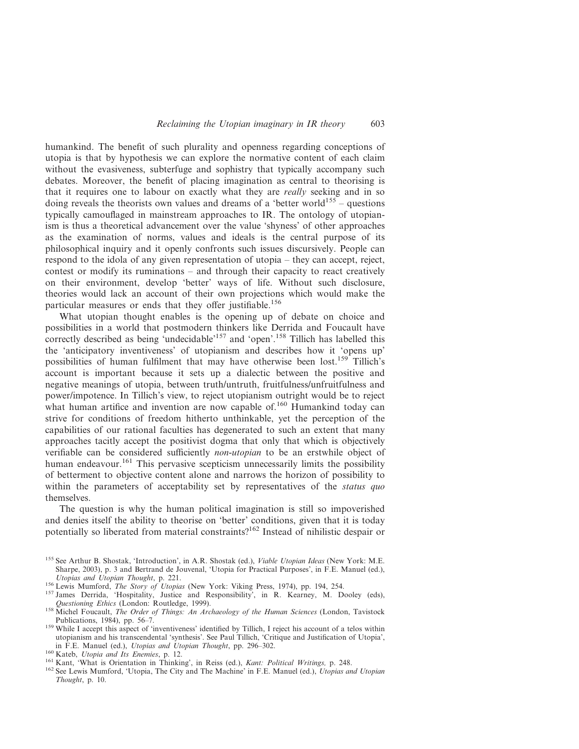humankind. The benefit of such plurality and openness regarding conceptions of utopia is that by hypothesis we can explore the normative content of each claim without the evasiveness, subterfuge and sophistry that typically accompany such debates. Moreover, the benefit of placing imagination as central to theorising is that it requires one to labour on exactly what they are *really* seeking and in so doing reveals the theorists own values and dreams of a 'better world<sup>155</sup> – questions typically camouflaged in mainstream approaches to IR. The ontology of utopianism is thus a theoretical advancement over the value 'shyness' of other approaches as the examination of norms, values and ideals is the central purpose of its philosophical inquiry and it openly confronts such issues discursively. People can respond to the idola of any given representation of utopia – they can accept, reject, contest or modify its ruminations – and through their capacity to react creatively on their environment, develop 'better' ways of life. Without such disclosure, theories would lack an account of their own projections which would make the particular measures or ends that they offer justifiable.<sup>156</sup>

What utopian thought enables is the opening up of debate on choice and possibilities in a world that postmodern thinkers like Derrida and Foucault have correctly described as being 'undecidable'<sup>157</sup> and 'open'.<sup>158</sup> Tillich has labelled this the 'anticipatory inventiveness' of utopianism and describes how it 'opens up' possibilities of human fulfilment that may have otherwise been lost.<sup>159</sup> Tillich's account is important because it sets up a dialectic between the positive and negative meanings of utopia, between truth/untruth, fruitfulness/unfruitfulness and power/impotence. In Tillich's view, to reject utopianism outright would be to reject what human artifice and invention are now capable of  $1^{160}$  Humankind today can strive for conditions of freedom hitherto unthinkable, yet the perception of the capabilities of our rational faculties has degenerated to such an extent that many approaches tacitly accept the positivist dogma that only that which is objectively verifiable can be considered sufficiently *non-utopian* to be an erstwhile object of human endeavour.<sup>161</sup> This pervasive scepticism unnecessarily limits the possibility of betterment to objective content alone and narrows the horizon of possibility to within the parameters of acceptability set by representatives of the *status quo* themselves.

The question is why the human political imagination is still so impoverished and denies itself the ability to theorise on 'better' conditions, given that it is today potentially so liberated from material constraints?<sup>162</sup> Instead of nihilistic despair or

- <sup>155</sup> See Arthur B. Shostak, 'Introduction', in A.R. Shostak (ed.), *Viable Utopian Ideas* (New York: M.E. Sharpe, 2003), p. 3 and Bertrand de Jouvenal, 'Utopia for Practical Purposes', in F.E. Manuel (ed.), Utopias and Utopian Thought, p. 221.
- 
- <sup>156</sup> Lewis Mumford, *The Story of Utopias* (New York: Viking Press, 1974), pp. 194, 254.<br><sup>157</sup> James Derrida, 'Hospitality, Justice and Responsibility', in R. Kearney, M. Dooley (eds), *Questioning Ethics* (London: Routl
- <sup>158</sup> Michel Foucault, *The Order of Things: An Archaeology of the Human Sciences* (London, Tavistock Publications, 1984), pp. 56–7.
- <sup>159</sup> While I accept this aspect of 'inventiveness' identified by Tillich, I reject his account of a telos within utopianism and his transcendental 'synthesis'. See Paul Tillich, 'Critique and Justification of Utopia', in F.E. Manuel (ed.), *Utopias and Utopian Thought*, pp. 296-302.
- 
- 
- <sup>160</sup> Kateb, *Utopia and Its Enemies*, p. 12.<br><sup>161</sup> Kant, 'What is Orientation in Thinking', in Reiss (ed.), *Kant: Political Writings*, p. 248.<br><sup>162</sup> See Lewis Mumford, 'Utopia, The City and The Machine' in F.E. Manuel (e *Thought*, p. 10.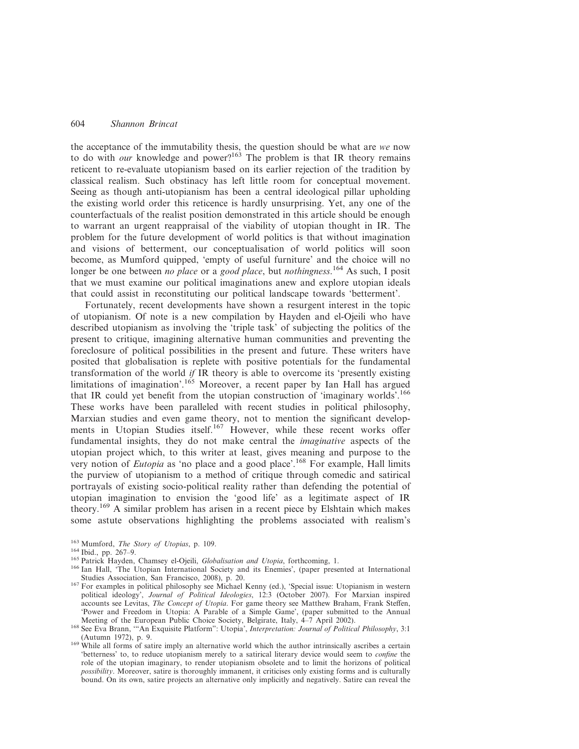the acceptance of the immutability thesis, the question should be what are *we* now to do with *our* knowledge and power?<sup>163</sup> The problem is that IR theory remains reticent to re-evaluate utopianism based on its earlier rejection of the tradition by classical realism. Such obstinacy has left little room for conceptual movement. Seeing as though anti-utopianism has been a central ideological pillar upholding the existing world order this reticence is hardly unsurprising. Yet, any one of the counterfactuals of the realist position demonstrated in this article should be enough to warrant an urgent reappraisal of the viability of utopian thought in IR. The problem for the future development of world politics is that without imagination and visions of betterment, our conceptualisation of world politics will soon become, as Mumford quipped, 'empty of useful furniture' and the choice will no longer be one between *no place* or a *good place*, but *nothingness*. <sup>164</sup> As such, I posit that we must examine our political imaginations anew and explore utopian ideals that could assist in reconstituting our political landscape towards 'betterment'.

Fortunately, recent developments have shown a resurgent interest in the topic of utopianism. Of note is a new compilation by Hayden and el-Ojeili who have described utopianism as involving the 'triple task' of subjecting the politics of the present to critique, imagining alternative human communities and preventing the foreclosure of political possibilities in the present and future. These writers have posited that globalisation is replete with positive potentials for the fundamental transformation of the world *if* IR theory is able to overcome its 'presently existing limitations of imagination'.<sup>165</sup> Moreover, a recent paper by Ian Hall has argued that IR could yet benefit from the utopian construction of 'imaginary worlds'.166 These works have been paralleled with recent studies in political philosophy, Marxian studies and even game theory, not to mention the significant developments in Utopian Studies itself.<sup>167</sup> However, while these recent works offer fundamental insights, they do not make central the *imaginative* aspects of the utopian project which, to this writer at least, gives meaning and purpose to the very notion of *Eutopia* as 'no place and a good place'.<sup>168</sup> For example, Hall limits the purview of utopianism to a method of critique through comedic and satirical portrayals of existing socio-political reality rather than defending the potential of utopian imagination to envision the 'good life' as a legitimate aspect of IR theory.169 A similar problem has arisen in a recent piece by Elshtain which makes some astute observations highlighting the problems associated with realism's

<sup>&</sup>lt;sup>163</sup> Mumford, *The Story of Utopias*, p. 109.<br><sup>164</sup> Ibid., pp. 267–9.<br><sup>165</sup> Patrick Hayden, Chamsey el-Ojeili, *Globalisation and Utopia*, forthcoming, 1.<br><sup>166</sup> Ian Hall, 'The Utopian International Society and its Enemie

<sup>&</sup>lt;sup>167</sup> For examples in political philosophy see Michael Kenny (ed.), 'Special issue: Utopianism in western political ideology', *Journal of Political Ideologies*, 12:3 (October 2007). For Marxian inspired accounts see Levitas, *The Concept of Utopia*. For game theory see Matthew Braham, Frank Steffen, 'Power and Freedom in Utopia: A Parable of a Simple Game', (paper submitted to the Annual

<sup>&</sup>lt;sup>168</sup> See Eva Brann, "An Exquisite Platform": Utopia', *Interpretation: Journal of Political Philosophy*, 3:1 (Autumn 1972), p. 9.

<sup>&</sup>lt;sup>169</sup> While all forms of satire imply an alternative world which the author intrinsically ascribes a certain 'betterness' to, to reduce utopianism merely to a satirical literary device would seem to *confine* the role of the utopian imaginary, to render utopianism obsolete and to limit the horizons of political *possibility*. Moreover, satire is thoroughly immanent, it criticises only existing forms and is culturally bound. On its own, satire projects an alternative only implicitly and negatively. Satire can reveal the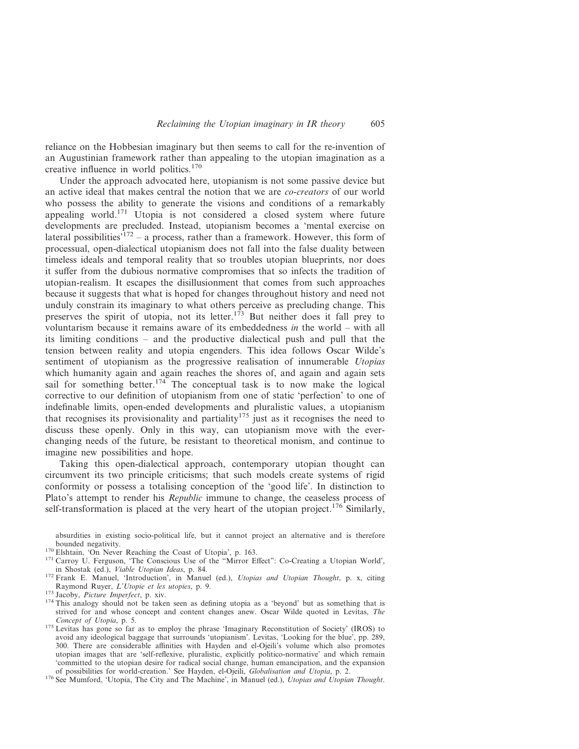reliance on the Hobbesian imaginary but then seems to call for the re-invention of an Augustinian framework rather than appealing to the utopian imagination as a creative influence in world politics. $170$ 

Under the approach advocated here, utopianism is not some passive device but an active ideal that makes central the notion that we are *co-creators* of our world who possess the ability to generate the visions and conditions of a remarkably appealing world.171 Utopia is not considered a closed system where future developments are precluded. Instead, utopianism becomes a 'mental exercise on lateral possibilities<sup> $2172$ </sup> – a process, rather than a framework. However, this form of processual, open-dialectical utopianism does not fall into the false duality between timeless ideals and temporal reality that so troubles utopian blueprints, nor does it suffer from the dubious normative compromises that so infects the tradition of utopian-realism. It escapes the disillusionment that comes from such approaches because it suggests that what is hoped for changes throughout history and need not unduly constrain its imaginary to what others perceive as precluding change. This preserves the spirit of utopia, not its letter.<sup>173</sup> But neither does it fall prey to voluntarism because it remains aware of its embeddedness *in* the world – with all its limiting conditions – and the productive dialectical push and pull that the tension between reality and utopia engenders. This idea follows Oscar Wilde's sentiment of utopianism as the progressive realisation of innumerable *Utopias* which humanity again and again reaches the shores of, and again and again sets sail for something better.<sup>174</sup> The conceptual task is to now make the logical corrective to our definition of utopianism from one of static 'perfection' to one of indefinable limits, open-ended developments and pluralistic values, a utopianism that recognises its provisionality and partiality<sup>175</sup> just as it recognises the need to discuss these openly. Only in this way, can utopianism move with the everchanging needs of the future, be resistant to theoretical monism, and continue to imagine new possibilities and hope.

Taking this open-dialectical approach, contemporary utopian thought can circumvent its two principle criticisms; that such models create systems of rigid conformity or possess a totalising conception of the 'good life'. In distinction to Plato's attempt to render his *Republic* immune to change, the ceaseless process of self-transformation is placed at the very heart of the utopian project.<sup>176</sup> Similarly,

absurdities in existing socio-political life, but it cannot project an alternative and is therefore

<sup>&</sup>lt;sup>170</sup> Elshtain, 'On Never Reaching the Coast of Utopia', p. 163.<br><sup>171</sup> Carroy U. Ferguson, 'The Conscious Use of the "Mirror Effect": Co-Creating a Utopian World', in Shostak (ed.), *Viable Utopian Ideas*, p. 84.

<sup>&</sup>lt;sup>172</sup> Frank E. Manuel, 'Introduction', in Manuel (ed.), *Utopias and Utopian Thought*, p. x, citing Raymond Ruyer, *L'Utopie et les utopies*, p. 9.

<sup>&</sup>lt;sup>173</sup> Jacoby, *Picture Imperfect*, p. xiv. 174 Julie 2016 p. 9. 174 This analogy should not be taken seen as defining utopia as a 'beyond' but as something that is strived for and whose concept and content changes anew. Oscar Wilde quoted in Levitas, *The Concept of Utopia*, p. 5.

<sup>&</sup>lt;sup>175</sup> Levitas has gone so far as to employ the phrase 'Imaginary Reconstitution of Society' (IROS) to avoid any ideological baggage that surrounds 'utopianism'. Levitas, 'Looking for the blue', pp. 289, 300. There are considerable affinities with Hayden and el-Ojeili's volume which also promotes utopian images that are 'self-reflexive, pluralistic, explicitly politico-normative' and which remain 'committed to the utopian desire for radical social change, human emancipation, and the expansion of possibilities for world-creation.' See Hayden, el-Ojeili, *Globalisation and Utopia*, p. 2.

<sup>&</sup>lt;sup>176</sup> See Mumford, 'Utopia, The City and The Machine', in Manuel (ed.), *Utopias and Utopian Thought*.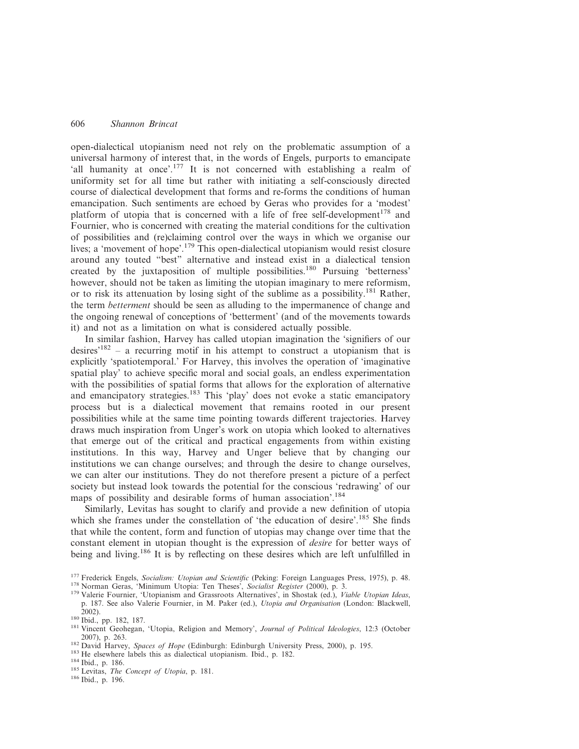open-dialectical utopianism need not rely on the problematic assumption of a universal harmony of interest that, in the words of Engels, purports to emancipate 'all humanity at once'.177 It is not concerned with establishing a realm of uniformity set for all time but rather with initiating a self-consciously directed course of dialectical development that forms and re-forms the conditions of human emancipation. Such sentiments are echoed by Geras who provides for a 'modest' platform of utopia that is concerned with a life of free self-development<sup>178</sup> and Fournier, who is concerned with creating the material conditions for the cultivation of possibilities and (re)claiming control over the ways in which we organise our lives; a 'movement of hope'.<sup>179</sup> This open-dialectical utopianism would resist closure around any touted "best" alternative and instead exist in a dialectical tension created by the juxtaposition of multiple possibilities.180 Pursuing 'betterness' however, should not be taken as limiting the utopian imaginary to mere reformism, or to risk its attenuation by losing sight of the sublime as a possibility.<sup>181</sup> Rather, the term *betterment* should be seen as alluding to the impermanence of change and the ongoing renewal of conceptions of 'betterment' (and of the movements towards it) and not as a limitation on what is considered actually possible.

In similar fashion, Harvey has called utopian imagination the 'signifiers of our desires<sup> $182$ </sup> – a recurring motif in his attempt to construct a utopianism that is explicitly 'spatiotemporal.' For Harvey, this involves the operation of 'imaginative spatial play' to achieve specific moral and social goals, an endless experimentation with the possibilities of spatial forms that allows for the exploration of alternative and emancipatory strategies.<sup>183</sup> This 'play' does not evoke a static emancipatory process but is a dialectical movement that remains rooted in our present possibilities while at the same time pointing towards different trajectories. Harvey draws much inspiration from Unger's work on utopia which looked to alternatives that emerge out of the critical and practical engagements from within existing institutions. In this way, Harvey and Unger believe that by changing our institutions we can change ourselves; and through the desire to change ourselves, we can alter our institutions. They do not therefore present a picture of a perfect society but instead look towards the potential for the conscious 'redrawing' of our maps of possibility and desirable forms of human association'.<sup>184</sup>

Similarly, Levitas has sought to clarify and provide a new definition of utopia which she frames under the constellation of 'the education of desire'.<sup>185</sup> She finds that while the content, form and function of utopias may change over time that the constant element in utopian thought is the expression of *desire* for better ways of being and living.<sup>186</sup> It is by reflecting on these desires which are left unfulfilled in

<sup>&</sup>lt;sup>177</sup> Frederick Engels, *Socialism: Utopian and Scientific* (Peking: Foreign Languages Press, 1975), p. 48.<br><sup>178</sup> Norman Geras, 'Minimum Utopia: Ten Theses', *Socialist Register* (2000), p. 3.<br><sup>179</sup> Valerie Fournier, 'Utop p. 187. See also Valerie Fournier, in M. Paker (ed.), *Utopia and Organisation* (London: Blackwell,

<sup>2002).</sup> <sup>180</sup> Ibid., pp. 182, 187. <sup>181</sup> Vincent Geohegan, 'Utopia, Religion and Memory', *Journal of Political Ideologies*, 12:3 (October

<sup>&</sup>lt;sup>182</sup> David Harvey, *Spaces of Hope* (Edinburgh: Edinburgh University Press, 2000), p. 195.<br><sup>183</sup> He elsewhere labels this as dialectical utopianism. Ibid., p. 182.<br><sup>184</sup> Ibid., p. 186.<br><sup>185</sup> Levitas, *The Concept of Utop*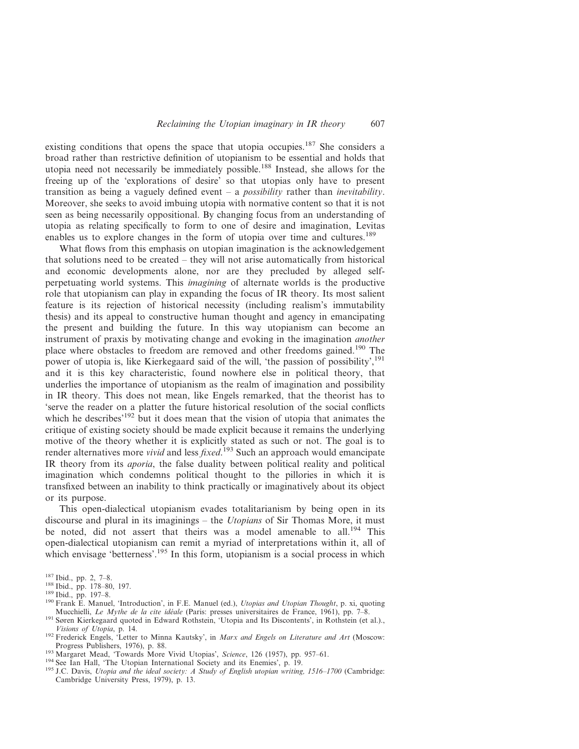existing conditions that opens the space that utopia occupies.<sup>187</sup> She considers a broad rather than restrictive definition of utopianism to be essential and holds that utopia need not necessarily be immediately possible.<sup>188</sup> Instead, she allows for the freeing up of the 'explorations of desire' so that utopias only have to present transition as being a vaguely defined event – a *possibility* rather than *inevitability*. Moreover, she seeks to avoid imbuing utopia with normative content so that it is not seen as being necessarily oppositional. By changing focus from an understanding of utopia as relating specifically to form to one of desire and imagination, Levitas enables us to explore changes in the form of utopia over time and cultures.<sup>189</sup>

What flows from this emphasis on utopian imagination is the acknowledgement that solutions need to be created – they will not arise automatically from historical and economic developments alone, nor are they precluded by alleged selfperpetuating world systems. This *imagining* of alternate worlds is the productive role that utopianism can play in expanding the focus of IR theory. Its most salient feature is its rejection of historical necessity (including realism's immutability thesis) and its appeal to constructive human thought and agency in emancipating the present and building the future. In this way utopianism can become an instrument of praxis by motivating change and evoking in the imagination *another* place where obstacles to freedom are removed and other freedoms gained.<sup>190</sup> The power of utopia is, like Kierkegaard said of the will, 'the passion of possibility', <sup>191</sup> and it is this key characteristic, found nowhere else in political theory, that underlies the importance of utopianism as the realm of imagination and possibility in IR theory. This does not mean, like Engels remarked, that the theorist has to 'serve the reader on a platter the future historical resolution of the social conflicts which he describes<sup>192</sup> but it does mean that the vision of utopia that animates the critique of existing society should be made explicit because it remains the underlying motive of the theory whether it is explicitly stated as such or not. The goal is to render alternatives more *vivid* and less *fixed*. <sup>193</sup> Such an approach would emancipate IR theory from its *aporia*, the false duality between political reality and political imagination which condemns political thought to the pillories in which it is transfixed between an inability to think practically or imaginatively about its object or its purpose.

This open-dialectical utopianism evades totalitarianism by being open in its discourse and plural in its imaginings – the *Utopians* of Sir Thomas More, it must be noted, did not assert that theirs was a model amenable to all.<sup>194</sup> This open-dialectical utopianism can remit a myriad of interpretations within it, all of which envisage 'betterness'.<sup>195</sup> In this form, utopianism is a social process in which

- 
- 
- 187 Ibid., pp. 2, 7–8.<br>
188 Ibid., pp. 178–80, 197.<br>
189 Ibid., pp. 197–8.<br>
190 Frank E. Manuel, 'Introduction', in F.E. Manuel (ed.), *Utopias and Utopian Thought*, p. xi, quoting<br>
190 Frank E. Manuel, 'Introduction', in
- <sup>191</sup> Søren Kierkegaard quoted in Edward Rothstein, 'Utopia and Its Discontents', in Rothstein (et al.).,
- *Visions of Utopia*, p. 14.<br><sup>192</sup> Frederick Engels, 'Letter to Minna Kautsky', in *Marx and Engels on Literature and Art* (Moscow:<br>Progress Publishers, 1976), p. 88.
- 
- 
- <sup>193</sup> Margaret Mead, 'Towards More Vivid Utopias', *Science*, 126 (1957), pp. 957–61.<br><sup>194</sup> See Ian Hall, 'The Utopian International Society and its Enemies', p. 19.<br><sup>195</sup> J.C. Davis, *Utopia and the ideal society: A Stud* Cambridge University Press, 1979), p. 13.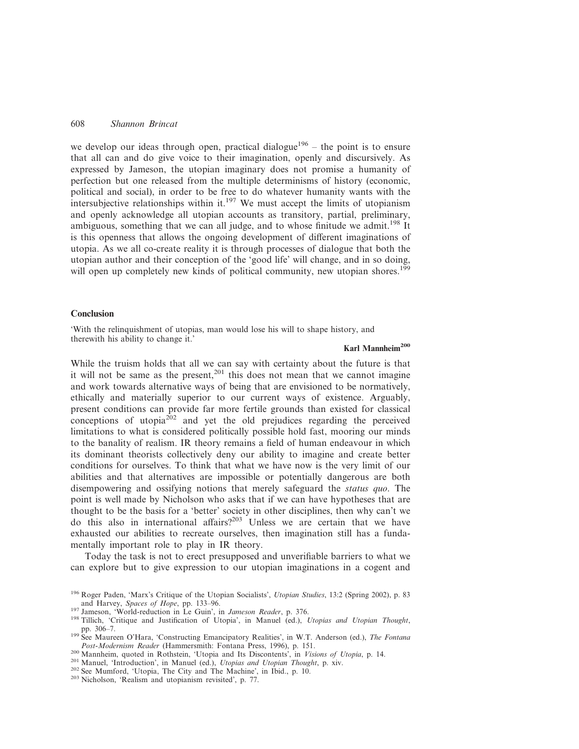we develop our ideas through open, practical dialogue<sup>196</sup> – the point is to ensure that all can and do give voice to their imagination, openly and discursively. As expressed by Jameson, the utopian imaginary does not promise a humanity of perfection but one released from the multiple determinisms of history (economic, political and social), in order to be free to do whatever humanity wants with the intersubjective relationships within it.<sup>197</sup> We must accept the limits of utopianism and openly acknowledge all utopian accounts as transitory, partial, preliminary, ambiguous, something that we can all judge, and to whose finitude we admit.<sup>198</sup> It is this openness that allows the ongoing development of different imaginations of utopia. As we all co-create reality it is through processes of dialogue that both the utopian author and their conception of the 'good life' will change, and in so doing, will open up completely new kinds of political community, new utopian shores.<sup>199</sup>

#### **Conclusion**

'With the relinquishment of utopias, man would lose his will to shape history, and therewith his ability to change it.'

#### **Karl Mannheim200**

While the truism holds that all we can say with certainty about the future is that it will not be same as the present, $2^{01}$  this does not mean that we cannot imagine and work towards alternative ways of being that are envisioned to be normatively, ethically and materially superior to our current ways of existence. Arguably, present conditions can provide far more fertile grounds than existed for classical conceptions of utopia<sup> $202$ </sup> and yet the old prejudices regarding the perceived limitations to what is considered politically possible hold fast, mooring our minds to the banality of realism. IR theory remains a field of human endeavour in which its dominant theorists collectively deny our ability to imagine and create better conditions for ourselves. To think that what we have now is the very limit of our abilities and that alternatives are impossible or potentially dangerous are both disempowering and ossifying notions that merely safeguard the *status quo*. The point is well made by Nicholson who asks that if we can have hypotheses that are thought to be the basis for a 'better' society in other disciplines, then why can't we do this also in international affairs?203 Unless we are certain that we have exhausted our abilities to recreate ourselves, then imagination still has a fundamentally important role to play in IR theory.

Today the task is not to erect presupposed and unverifiable barriers to what we can explore but to give expression to our utopian imaginations in a cogent and

- <sup>200</sup> Mannheim, quoted in Rothstein, 'Utopia and Its Discontents', in *Visions of Utopia*, p. 14.<br><sup>201</sup> Manuel, 'Introduction', in Manuel (ed.), *Utopias and Utopian Thought*, p. xiv.<br><sup>202</sup> See Mumford, 'Utopia, The City
- 
- 

<sup>196</sup> Roger Paden, 'Marx's Critique of the Utopian Socialists', *Utopian Studies*, 13:2 (Spring 2002), p. 83

<sup>&</sup>lt;sup>197</sup> Jameson, 'World-reduction in Le Guin', in *Jameson Reader*, p. 376.<br><sup>198</sup> Tillich, 'Critique and Justification of Utopia', in Manuel (ed.), *Utopias and Utopian Thought*,

pp. 306–7.<br><sup>199</sup> See Maureen O'Hara, 'Constructing Emancipatory Realities', in W.T. Anderson (ed.), *The Fontana*<br>*Post-Modernism Reader* (Hammersmith: Fontana Press, 1996), p. 151.